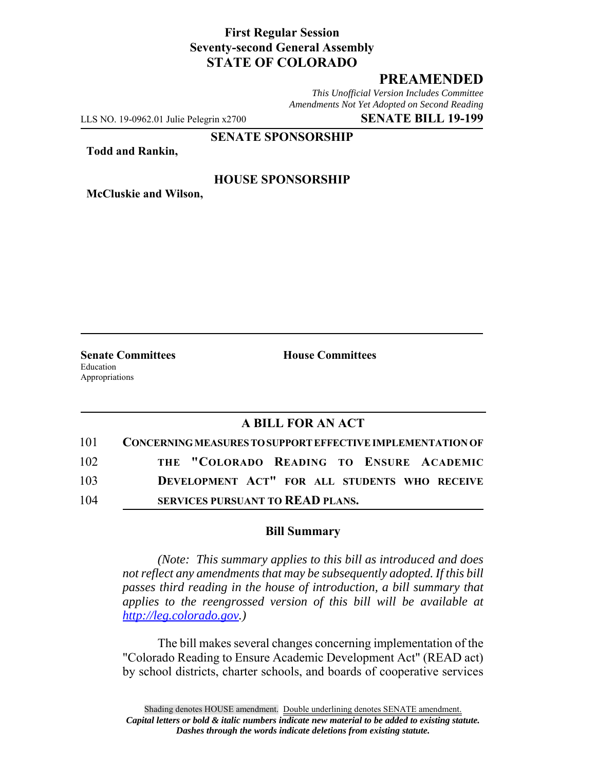## **First Regular Session Seventy-second General Assembly STATE OF COLORADO**

# **PREAMENDED**

*This Unofficial Version Includes Committee Amendments Not Yet Adopted on Second Reading*

LLS NO. 19-0962.01 Julie Pelegrin x2700 **SENATE BILL 19-199**

#### **SENATE SPONSORSHIP**

**Todd and Rankin,**

### **HOUSE SPONSORSHIP**

**McCluskie and Wilson,**

Education Appropriations

**Senate Committees House Committees** 

## **A BILL FOR AN ACT**

| 101 | CONCERNING MEASURES TO SUPPORT EFFECTIVE IMPLEMENTATION OF |
|-----|------------------------------------------------------------|
| 102 | THE "COLORADO READING TO ENSURE ACADEMIC                   |
| 103 | DEVELOPMENT ACT" FOR ALL STUDENTS WHO RECEIVE              |
| 104 | SERVICES PURSUANT TO READ PLANS.                           |

#### **Bill Summary**

*(Note: This summary applies to this bill as introduced and does not reflect any amendments that may be subsequently adopted. If this bill passes third reading in the house of introduction, a bill summary that applies to the reengrossed version of this bill will be available at http://leg.colorado.gov.)*

The bill makes several changes concerning implementation of the "Colorado Reading to Ensure Academic Development Act" (READ act) by school districts, charter schools, and boards of cooperative services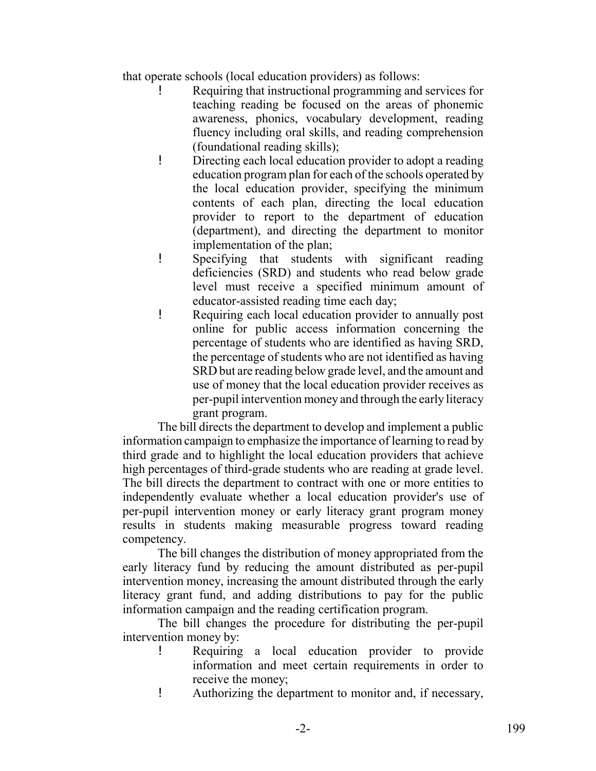that operate schools (local education providers) as follows:

- ! Requiring that instructional programming and services for teaching reading be focused on the areas of phonemic awareness, phonics, vocabulary development, reading fluency including oral skills, and reading comprehension (foundational reading skills);
- ! Directing each local education provider to adopt a reading education program plan for each of the schools operated by the local education provider, specifying the minimum contents of each plan, directing the local education provider to report to the department of education (department), and directing the department to monitor implementation of the plan;
- ! Specifying that students with significant reading deficiencies (SRD) and students who read below grade level must receive a specified minimum amount of educator-assisted reading time each day;
- ! Requiring each local education provider to annually post online for public access information concerning the percentage of students who are identified as having SRD, the percentage of students who are not identified as having SRD but are reading below grade level, and the amount and use of money that the local education provider receives as per-pupil intervention money and through the early literacy grant program.

The bill directs the department to develop and implement a public information campaign to emphasize the importance of learning to read by third grade and to highlight the local education providers that achieve high percentages of third-grade students who are reading at grade level. The bill directs the department to contract with one or more entities to independently evaluate whether a local education provider's use of per-pupil intervention money or early literacy grant program money results in students making measurable progress toward reading competency.

The bill changes the distribution of money appropriated from the early literacy fund by reducing the amount distributed as per-pupil intervention money, increasing the amount distributed through the early literacy grant fund, and adding distributions to pay for the public information campaign and the reading certification program.

The bill changes the procedure for distributing the per-pupil intervention money by:

- ! Requiring a local education provider to provide information and meet certain requirements in order to receive the money;
- ! Authorizing the department to monitor and, if necessary,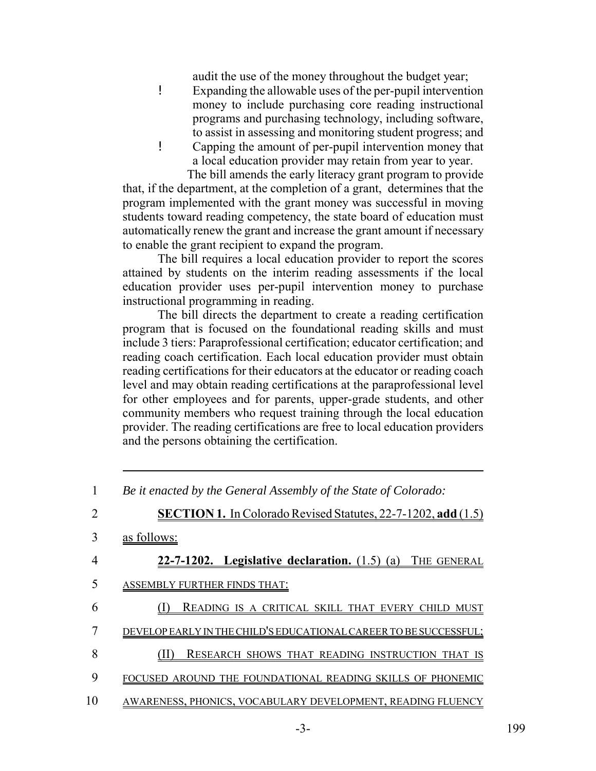audit the use of the money throughout the budget year;

- ! Expanding the allowable uses of the per-pupil intervention money to include purchasing core reading instructional programs and purchasing technology, including software, to assist in assessing and monitoring student progress; and
- ! Capping the amount of per-pupil intervention money that a local education provider may retain from year to year.

 The bill amends the early literacy grant program to provide that, if the department, at the completion of a grant, determines that the program implemented with the grant money was successful in moving students toward reading competency, the state board of education must automatically renew the grant and increase the grant amount if necessary to enable the grant recipient to expand the program.

The bill requires a local education provider to report the scores attained by students on the interim reading assessments if the local education provider uses per-pupil intervention money to purchase instructional programming in reading.

The bill directs the department to create a reading certification program that is focused on the foundational reading skills and must include 3 tiers: Paraprofessional certification; educator certification; and reading coach certification. Each local education provider must obtain reading certifications for their educators at the educator or reading coach level and may obtain reading certifications at the paraprofessional level for other employees and for parents, upper-grade students, and other community members who request training through the local education provider. The reading certifications are free to local education providers and the persons obtaining the certification.

<sup>1</sup> *Be it enacted by the General Assembly of the State of Colorado:*

<sup>2</sup> **SECTION 1.** In Colorado Revised Statutes, 22-7-1202, **add** (1.5) 3 as follows: 4 **22-7-1202. Legislative declaration.** (1.5) (a) THE GENERAL 5 ASSEMBLY FURTHER FINDS THAT: 6 (I) READING IS A CRITICAL SKILL THAT EVERY CHILD MUST 7 DEVELOP EARLY IN THE CHILD'S EDUCATIONAL CAREER TO BE SUCCESSFUL; 8 (II) RESEARCH SHOWS THAT READING INSTRUCTION THAT IS 9 FOCUSED AROUND THE FOUNDATIONAL READING SKILLS OF PHONEMIC 10 AWARENESS, PHONICS, VOCABULARY DEVELOPMENT, READING FLUENCY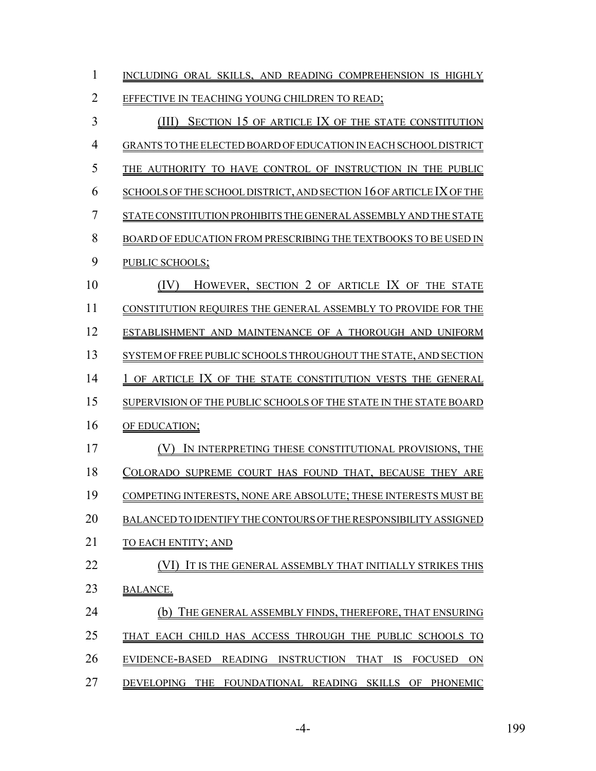| 1              | INCLUDING ORAL SKILLS, AND READING COMPREHENSION IS HIGHLY                             |
|----------------|----------------------------------------------------------------------------------------|
| $\overline{2}$ | EFFECTIVE IN TEACHING YOUNG CHILDREN TO READ;                                          |
| 3              | SECTION 15 OF ARTICLE IX OF THE STATE CONSTITUTION<br>(III)                            |
| 4              | GRANTS TO THE ELECTED BOARD OF EDUCATION IN EACH SCHOOL DISTRICT                       |
| 5              | THE AUTHORITY TO HAVE CONTROL OF INSTRUCTION IN THE PUBLIC                             |
| 6              | SCHOOLS OF THE SCHOOL DISTRICT, AND SECTION 16 OF ARTICLE IX OF THE                    |
| 7              | STATE CONSTITUTION PROHIBITS THE GENERAL ASSEMBLY AND THE STATE                        |
| 8              | BOARD OF EDUCATION FROM PRESCRIBING THE TEXTBOOKS TO BE USED IN                        |
| 9              | PUBLIC SCHOOLS;                                                                        |
| 10             | (IV)<br>HOWEVER, SECTION 2 OF ARTICLE IX OF THE STATE                                  |
| 11             | <b>CONSTITUTION REQUIRES THE GENERAL ASSEMBLY TO PROVIDE FOR THE</b>                   |
| 12             | ESTABLISHMENT AND MAINTENANCE OF A THOROUGH AND UNIFORM                                |
| 13             | SYSTEM OF FREE PUBLIC SCHOOLS THROUGHOUT THE STATE, AND SECTION                        |
| 14             | OF ARTICLE IX OF THE STATE CONSTITUTION VESTS THE GENERAL                              |
| 15             | SUPERVISION OF THE PUBLIC SCHOOLS OF THE STATE IN THE STATE BOARD                      |
| 16             | OF EDUCATION;                                                                          |
| 17             | IN INTERPRETING THESE CONSTITUTIONAL PROVISIONS, THE                                   |
| 18             | COLORADO SUPREME COURT HAS FOUND THAT, BECAUSE THEY ARE                                |
| 19             | COMPETING INTERESTS, NONE ARE ABSOLUTE; THESE INTERESTS MUST BE                        |
| 20             | BALANCED TO IDENTIFY THE CONTOURS OF THE RESPONSIBILITY ASSIGNED                       |
| 21             | TO EACH ENTITY; AND                                                                    |
| 22             | IT IS THE GENERAL ASSEMBLY THAT INITIALLY STRIKES THIS                                 |
| 23             | <b>BALANCE.</b>                                                                        |
| 24             | THE GENERAL ASSEMBLY FINDS, THEREFORE, THAT ENSURING<br>(b)                            |
| 25             | THAT EACH CHILD HAS ACCESS THROUGH THE PUBLIC SCHOOLS TO                               |
| 26             | EVIDENCE-BASED<br>READING<br><b>INSTRUCTION</b><br>THAT<br>IS.<br><b>FOCUSED</b><br>ON |
| 27             | DEVELOPING THE FOUNDATIONAL READING SKILLS OF PHONEMIC                                 |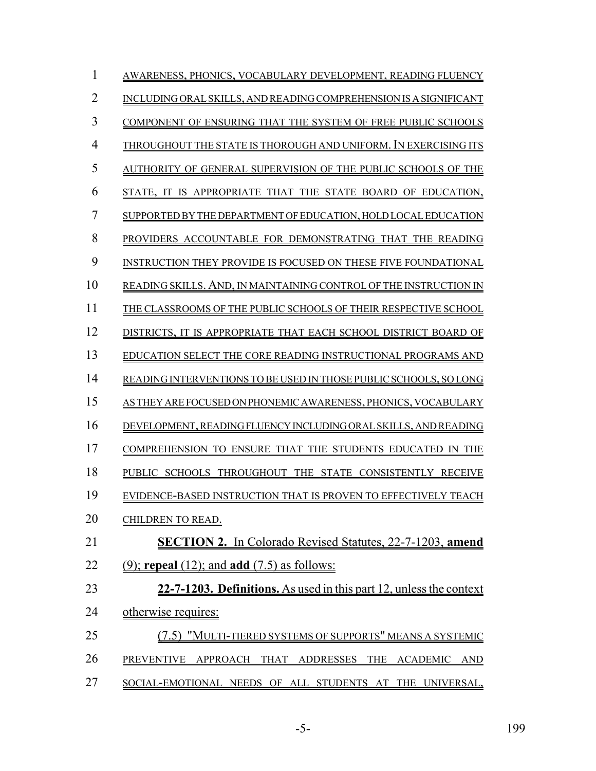| 1              | AWARENESS, PHONICS, VOCABULARY DEVELOPMENT, READING FLUENCY         |
|----------------|---------------------------------------------------------------------|
| $\overline{2}$ | INCLUDING ORAL SKILLS, AND READING COMPREHENSION IS A SIGNIFICANT   |
| 3              | COMPONENT OF ENSURING THAT THE SYSTEM OF FREE PUBLIC SCHOOLS        |
| 4              | THROUGHOUT THE STATE IS THOROUGH AND UNIFORM. IN EXERCISING ITS     |
| 5              | AUTHORITY OF GENERAL SUPERVISION OF THE PUBLIC SCHOOLS OF THE       |
| 6              | STATE, IT IS APPROPRIATE THAT THE STATE BOARD OF EDUCATION,         |
| 7              | SUPPORTED BY THE DEPARTMENT OF EDUCATION, HOLD LOCAL EDUCATION      |
| 8              | PROVIDERS ACCOUNTABLE FOR DEMONSTRATING THAT THE READING            |
| 9              | INSTRUCTION THEY PROVIDE IS FOCUSED ON THESE FIVE FOUNDATIONAL      |
| 10             | READING SKILLS. AND, IN MAINTAINING CONTROL OF THE INSTRUCTION IN   |
| 11             | THE CLASSROOMS OF THE PUBLIC SCHOOLS OF THEIR RESPECTIVE SCHOOL     |
| 12             | DISTRICTS, IT IS APPROPRIATE THAT EACH SCHOOL DISTRICT BOARD OF     |
| 13             | EDUCATION SELECT THE CORE READING INSTRUCTIONAL PROGRAMS AND        |
| 14             | READING INTERVENTIONS TO BE USED IN THOSE PUBLIC SCHOOLS, SO LONG   |
| 15             | AS THEY ARE FOCUSED ON PHONEMIC AWARENESS, PHONICS, VOCABULARY      |
| 16             | DEVELOPMENT, READING FLUENCY INCLUDING ORAL SKILLS, AND READING     |
| 17             | COMPREHENSION TO ENSURE THAT THE STUDENTS EDUCATED IN THE           |
| 18             | PUBLIC SCHOOLS THROUGHOUT THE STATE CONSISTENTLY RECEIVE            |
| 19             | EVIDENCE-BASED INSTRUCTION THAT IS PROVEN TO EFFECTIVELY TEACH      |
| 20             | CHILDREN TO READ.                                                   |
| 21             | <b>SECTION 2.</b> In Colorado Revised Statutes, 22-7-1203, amend    |
| 22             | $(9)$ ; repeal $(12)$ ; and add $(7.5)$ as follows:                 |
| 23             | 22-7-1203. Definitions. As used in this part 12, unless the context |
| 24             | otherwise requires:                                                 |
| 25             | (7.5) "MULTI-TIERED SYSTEMS OF SUPPORTS" MEANS A SYSTEMIC           |
| 26             | PREVENTIVE APPROACH THAT ADDRESSES THE ACADEMIC AND                 |
| 27             | SOCIAL-EMOTIONAL NEEDS OF ALL STUDENTS AT THE UNIVERSAL,            |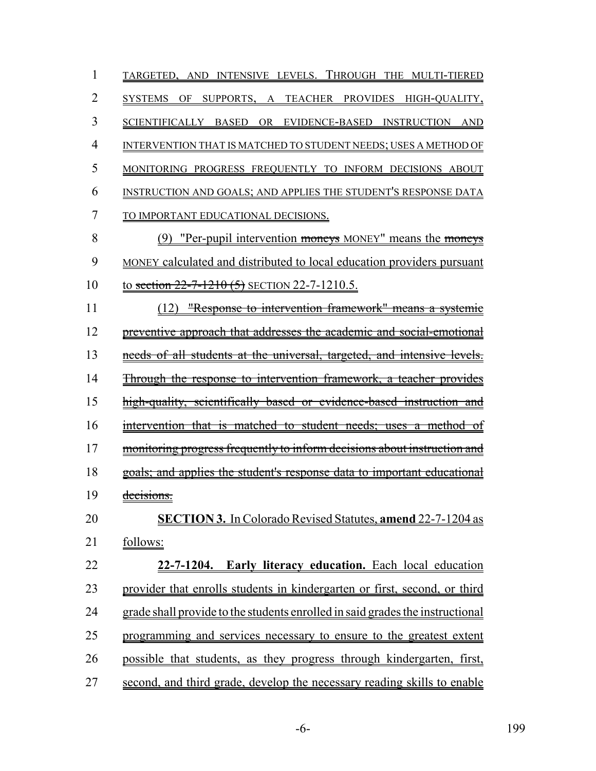| 1              | TARGETED, AND INTENSIVE LEVELS. THROUGH THE MULTI-TIERED                      |
|----------------|-------------------------------------------------------------------------------|
| $\overline{2}$ | SYSTEMS OF<br>SUPPORTS, A<br>TEACHER PROVIDES HIGH-QUALITY,                   |
| 3              | SCIENTIFICALLY BASED<br>OR EVIDENCE-BASED INSTRUCTION AND                     |
| 4              | INTERVENTION THAT IS MATCHED TO STUDENT NEEDS; USES A METHOD OF               |
| 5              | MONITORING PROGRESS FREQUENTLY TO INFORM DECISIONS ABOUT                      |
| 6              | INSTRUCTION AND GOALS; AND APPLIES THE STUDENT'S RESPONSE DATA                |
| 7              | TO IMPORTANT EDUCATIONAL DECISIONS.                                           |
| 8              | (9) "Per-pupil intervention moneys MONEY" means the moneys                    |
| 9              | MONEY calculated and distributed to local education providers pursuant        |
| 10             | to section $22-7-1210(5)$ SECTION 22-7-1210.5.                                |
| 11             | "Response to intervention framework" means a systemic<br>(12)                 |
| 12             | preventive approach that addresses the academic and social-emotional          |
| 13             | needs of all students at the universal, targeted, and intensive levels.       |
| 14             | Through the response to intervention framework, a teacher provides            |
| 15             | high-quality, scientifically based or evidence-based instruction and          |
| 16             | intervention that is matched to student needs; uses a method of               |
| 17             | monitoring progress frequently to inform decisions about instruction and      |
| 18             | goals; and applies the student's response data to important educational       |
| 19             | decisions.                                                                    |
| 20             | <b>SECTION 3.</b> In Colorado Revised Statutes, <b>amend</b> 22-7-1204 as     |
| 21             | follows:                                                                      |
| 22             | 22-7-1204. Early literacy education. Each local education                     |
| 23             | provider that enrolls students in kindergarten or first, second, or third     |
| 24             | grade shall provide to the students enrolled in said grades the instructional |
| 25             | programming and services necessary to ensure to the greatest extent           |
| 26             | possible that students, as they progress through kindergarten, first,         |
| 27             | second, and third grade, develop the necessary reading skills to enable       |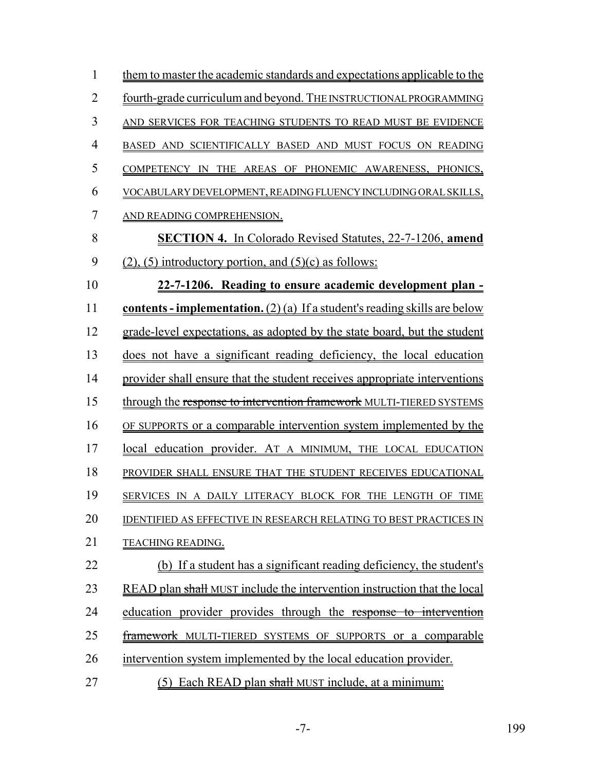| $\mathbf{1}$   | them to master the academic standards and expectations applicable to the     |
|----------------|------------------------------------------------------------------------------|
| $\overline{2}$ | fourth-grade curriculum and beyond. THE INSTRUCTIONAL PROGRAMMING            |
| 3              | AND SERVICES FOR TEACHING STUDENTS TO READ MUST BE EVIDENCE                  |
| 4              | BASED AND SCIENTIFICALLY BASED AND MUST FOCUS ON READING                     |
| 5              | COMPETENCY IN THE AREAS OF PHONEMIC AWARENESS, PHONICS,                      |
| 6              | VOCABULARY DEVELOPMENT, READING FLUENCY INCLUDING ORAL SKILLS,               |
| 7              | AND READING COMPREHENSION.                                                   |
| 8              | <b>SECTION 4.</b> In Colorado Revised Statutes, 22-7-1206, amend             |
| 9              | $(2)$ , (5) introductory portion, and (5)(c) as follows:                     |
| 10             | 22-7-1206. Reading to ensure academic development plan -                     |
| 11             | contents - implementation. $(2)$ (a) If a student's reading skills are below |
| 12             | grade-level expectations, as adopted by the state board, but the student     |
| 13             | does not have a significant reading deficiency, the local education          |
| 14             | provider shall ensure that the student receives appropriate interventions    |
| 15             | through the response to intervention framework MULTI-TIERED SYSTEMS          |
| 16             | OF SUPPORTS or a comparable intervention system implemented by the           |
| 17             | local education provider. AT A MINIMUM, THE LOCAL EDUCATION                  |
| 18             | PROVIDER SHALL ENSURE THAT THE STUDENT RECEIVES EDUCATIONAL                  |
| 19             | SERVICES IN A DAILY LITERACY BLOCK FOR THE LENGTH OF TIME                    |
| 20             | IDENTIFIED AS EFFECTIVE IN RESEARCH RELATING TO BEST PRACTICES IN            |
| 21             | <b>TEACHING READING.</b>                                                     |
| 22             | (b) If a student has a significant reading deficiency, the student's         |
| 23             | READ plan shall MUST include the intervention instruction that the local     |
| 24             | education provider provides through the response to intervention             |
| 25             | <b>framework</b> MULTI-TIERED SYSTEMS OF SUPPORTS or a comparable            |
| 26             | intervention system implemented by the local education provider.             |
| 27             | Each READ plan shall MUST include, at a minimum:<br>(5)                      |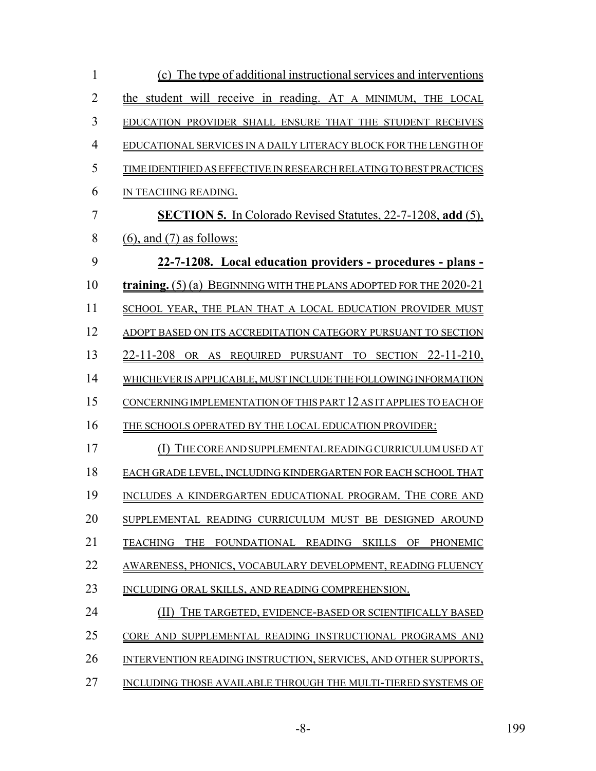| 1              | (c) The type of additional instructional services and interventions           |
|----------------|-------------------------------------------------------------------------------|
| $\overline{2}$ | the student will receive in reading. AT A MINIMUM, THE LOCAL                  |
| 3              | EDUCATION PROVIDER SHALL ENSURE THAT THE STUDENT RECEIVES                     |
| $\overline{4}$ | EDUCATIONAL SERVICES IN A DAILY LITERACY BLOCK FOR THE LENGTH OF              |
| 5              | TIME IDENTIFIED AS EFFECTIVE IN RESEARCH RELATING TO BEST PRACTICES           |
| 6              | IN TEACHING READING.                                                          |
| $\overline{7}$ | <b>SECTION 5.</b> In Colorado Revised Statutes, 22-7-1208, add (5),           |
| 8              | $(6)$ , and $(7)$ as follows:                                                 |
| 9              | 22-7-1208. Local education providers - procedures - plans -                   |
| 10             | <b>training.</b> $(5)$ (a) BEGINNING WITH THE PLANS ADOPTED FOR THE $2020-21$ |
| 11             | SCHOOL YEAR, THE PLAN THAT A LOCAL EDUCATION PROVIDER MUST                    |
| 12             | ADOPT BASED ON ITS ACCREDITATION CATEGORY PURSUANT TO SECTION                 |
| 13             | 22-11-208 OR AS REQUIRED PURSUANT TO SECTION 22-11-210,                       |
| 14             | WHICHEVER IS APPLICABLE, MUST INCLUDE THE FOLLOWING INFORMATION               |
| 15             | CONCERNING IMPLEMENTATION OF THIS PART 12 AS IT APPLIES TO EACH OF            |
| 16             | THE SCHOOLS OPERATED BY THE LOCAL EDUCATION PROVIDER:                         |
| 17             | THE CORE AND SUPPLEMENTAL READING CURRICULUM USED AT                          |
| 18             | EACH GRADE LEVEL, INCLUDING KINDERGARTEN FOR EACH SCHOOL THAT                 |
| 19             | INCLUDES A KINDERGARTEN EDUCATIONAL PROGRAM. THE CORE AND                     |
| 20             | SUPPLEMENTAL READING CURRICULUM MUST BE DESIGNED AROUND                       |
| 21             | TEACHING<br><b>THE</b><br>FOUNDATIONAL READING SKILLS OF<br>PHONEMIC          |
| 22             | AWARENESS, PHONICS, VOCABULARY DEVELOPMENT, READING FLUENCY                   |
| 23             | INCLUDING ORAL SKILLS, AND READING COMPREHENSION.                             |
| 24             | THE TARGETED, EVIDENCE-BASED OR SCIENTIFICALLY BASED                          |
| 25             | CORE AND SUPPLEMENTAL READING INSTRUCTIONAL PROGRAMS AND                      |
| 26             | INTERVENTION READING INSTRUCTION, SERVICES, AND OTHER SUPPORTS,               |
| 27             | INCLUDING THOSE AVAILABLE THROUGH THE MULTI-TIERED SYSTEMS OF                 |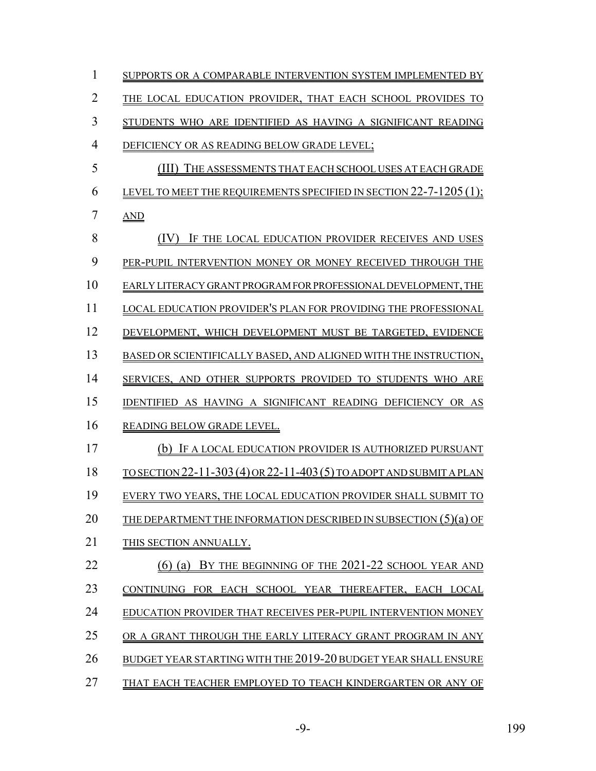| 1                      | SUPPORTS OR A COMPARABLE INTERVENTION SYSTEM IMPLEMENTED BY          |
|------------------------|----------------------------------------------------------------------|
| 2                      | THE LOCAL EDUCATION PROVIDER, THAT EACH SCHOOL PROVIDES              |
| 3                      | STUDENTS WHO ARE IDENTIFIED AS HAVING A SIGNIFICANT READING          |
| $\boldsymbol{\Lambda}$ | DEFICIENCY OR AS READING BELOW GRADE LEVEL;                          |
| 5                      | (III)<br>THE ASSESSMENTS THAT EACH SCHOOL USES AT EACH GRADE         |
| 6                      | LEVEL TO MEET THE REQUIREMENTS SPECIFIED IN SECTION 22-7-1205 (1):   |
| 7                      | <b>AND</b>                                                           |
| 8                      | IF THE LOCAL EDUCATION PROVIDER RECEIVES AND USES                    |
| 9                      | PER-PUPIL INTERVENTION MONEY OR MONEY RECEIVED THROUGH THE           |
| 10                     | EARLY LITERACY GRANT PROGRAM FOR PROFESSIONAL DEVELOPMENT, THE       |
| 11                     | LOCAL EDUCATION PROVIDER'S PLAN FOR PROVIDING THE PROFESSIONAL       |
| 12                     | DEVELOPMENT, WHICH DEVELOPMENT MUST BE TARGETED, EVIDENCE            |
| 13                     | BASED OR SCIENTIFICALLY BASED, AND ALIGNED WITH THE INSTRUCTION,     |
| 14                     | SERVICES, AND OTHER SUPPORTS PROVIDED TO STUDENTS WHO ARE            |
| 15                     | IDENTIFIED AS HAVING A SIGNIFICANT READING DEFICIENCY OR<br>AS       |
| 16                     | READING BELOW GRADE LEVEL.                                           |
| 17                     | (b) IF A LOCAL EDUCATION PROVIDER IS AUTHORIZED PURSUANT             |
| 18                     | TO SECTION 22-11-303 (4) OR 22-11-403 (5) TO ADOPT AND SUBMIT A PLAN |
| 19                     | EVERY TWO YEARS, THE LOCAL EDUCATION PROVIDER SHALL SUBMIT TO        |
| 20                     | THE DEPARTMENT THE INFORMATION DESCRIBED IN SUBSECTION $(5)(a)$ OF   |
| 21                     | THIS SECTION ANNUALLY.                                               |
| 22                     | BY THE BEGINNING OF THE 2021-22 SCHOOL YEAR AND<br>$(6)$ (a)         |
| 23                     | CONTINUING FOR EACH SCHOOL YEAR THEREAFTER. EACH LOCAL               |
| 24                     | EDUCATION PROVIDER THAT RECEIVES PER-PUPIL INTERVENTION MONEY        |
| 25                     | OR A GRANT THROUGH THE EARLY LITERACY GRANT PROGRAM IN ANY           |
| 26                     | BUDGET YEAR STARTING WITH THE 2019-20 BUDGET YEAR SHALL ENSURE       |
| 27                     | THAT EACH TEACHER EMPLOYED TO TEACH KINDERGARTEN OR ANY OF           |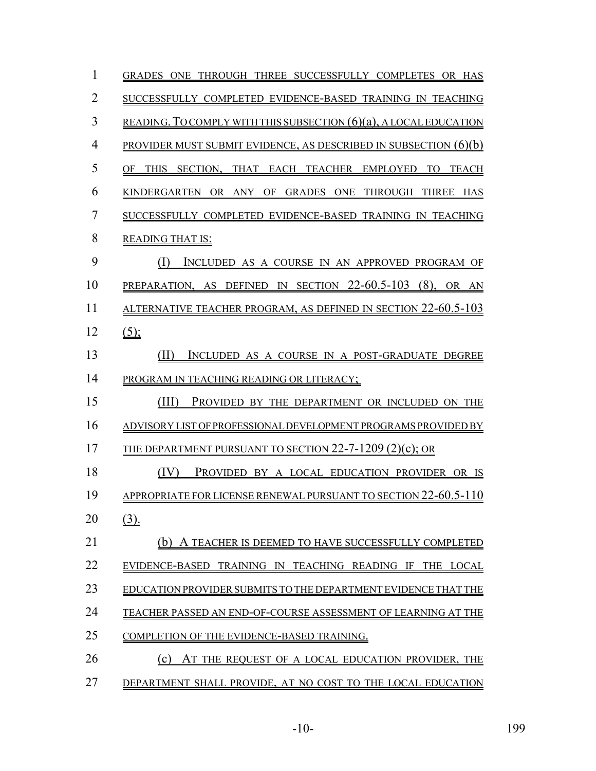| 1              | GRADES ONE THROUGH THREE SUCCESSFULLY COMPLETES OR HAS               |
|----------------|----------------------------------------------------------------------|
| $\overline{2}$ | SUCCESSFULLY COMPLETED EVIDENCE-BASED TRAINING IN TEACHING           |
| 3              | READING. TO COMPLY WITH THIS SUBSECTION $(6)(a)$ , A LOCAL EDUCATION |
| $\overline{4}$ | PROVIDER MUST SUBMIT EVIDENCE, AS DESCRIBED IN SUBSECTION $(6)(b)$   |
| 5              | THIS SECTION, THAT EACH TEACHER EMPLOYED TO<br>OF<br>TEACH           |
| 6              | KINDERGARTEN OR ANY OF GRADES ONE THROUGH THREE HAS                  |
| 7              | SUCCESSFULLY COMPLETED EVIDENCE-BASED TRAINING IN TEACHING           |
| 8              | <b>READING THAT IS:</b>                                              |
| 9              | INCLUDED AS A COURSE IN AN APPROVED PROGRAM OF<br>$\Box$             |
| 10             | PREPARATION, AS DEFINED IN SECTION $22-60.5-103$ (8),<br>OR AN       |
| 11             | ALTERNATIVE TEACHER PROGRAM, AS DEFINED IN SECTION 22-60.5-103       |
| 12             | $(5)$ ;                                                              |
| 13             | INCLUDED AS A COURSE IN A POST-GRADUATE DEGREE<br>(II)               |
| 14             | PROGRAM IN TEACHING READING OR LITERACY;                             |
| 15             | (III)<br>PROVIDED BY THE DEPARTMENT OR INCLUDED ON THE               |
| 16             | ADVISORY LIST OF PROFESSIONAL DEVELOPMENT PROGRAMS PROVIDED BY       |
| 17             | THE DEPARTMENT PURSUANT TO SECTION $22$ -7-1209 (2)(c); OR           |
| 18             | PROVIDED BY A LOCAL EDUCATION PROVIDER OR IS<br>(IV)                 |
| 19             | APPROPRIATE FOR LICENSE RENEWAL PURSUANT TO SECTION 22-60.5-110      |
| 20             | $(3)$ .                                                              |
| 21             | (b)<br>A TEACHER IS DEEMED TO HAVE SUCCESSFULLY COMPLETED            |
| 22             | EVIDENCE-BASED TRAINING IN TEACHING READING IF THE LOCAL             |
| 23             | EDUCATION PROVIDER SUBMITS TO THE DEPARTMENT EVIDENCE THAT THE       |
| 24             | TEACHER PASSED AN END-OF-COURSE ASSESSMENT OF LEARNING AT THE        |
| 25             | COMPLETION OF THE EVIDENCE-BASED TRAINING.                           |
| 26             | (c)<br>AT THE REQUEST OF A LOCAL EDUCATION PROVIDER, THE             |
| 27             | DEPARTMENT SHALL PROVIDE, AT NO COST TO THE LOCAL EDUCATION          |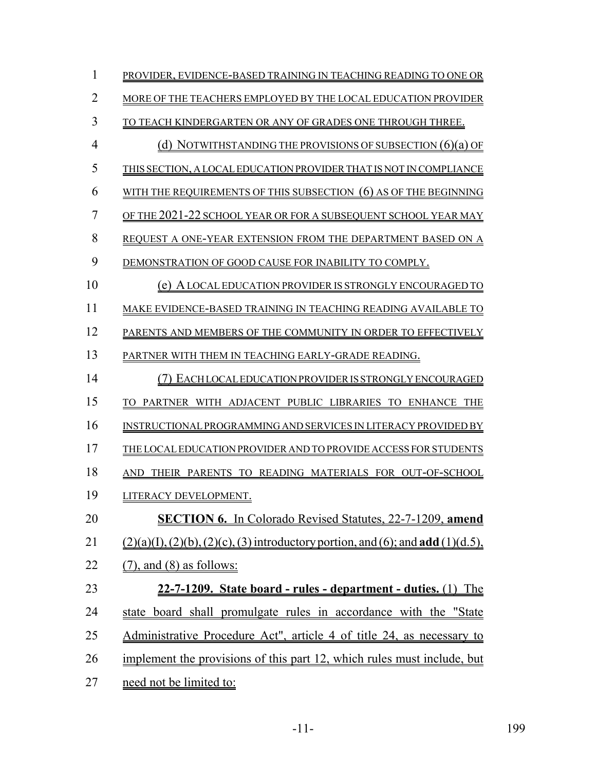| 1              | PROVIDER, EVIDENCE-BASED TRAINING IN TEACHING READING TO ONE OR                                         |
|----------------|---------------------------------------------------------------------------------------------------------|
| $\overline{2}$ | MORE OF THE TEACHERS EMPLOYED BY THE LOCAL EDUCATION PROVIDER                                           |
| 3              | TO TEACH KINDERGARTEN OR ANY OF GRADES ONE THROUGH THREE.                                               |
| 4              | (d) NOTWITHSTANDING THE PROVISIONS OF SUBSECTION $(6)(a)$ OF                                            |
| 5              | THIS SECTION, A LOCAL EDUCATION PROVIDER THAT IS NOT IN COMPLIANCE                                      |
| 6              | WITH THE REQUIREMENTS OF THIS SUBSECTION (6) AS OF THE BEGINNING                                        |
| 7              | OF THE 2021-22 SCHOOL YEAR OR FOR A SUBSEQUENT SCHOOL YEAR MAY                                          |
| 8              | REQUEST A ONE-YEAR EXTENSION FROM THE DEPARTMENT BASED ON A                                             |
| 9              | DEMONSTRATION OF GOOD CAUSE FOR INABILITY TO COMPLY.                                                    |
| 10             | (e) A LOCAL EDUCATION PROVIDER IS STRONGLY ENCOURAGED TO                                                |
| 11             | MAKE EVIDENCE-BASED TRAINING IN TEACHING READING AVAILABLE TO                                           |
| 12             | PARENTS AND MEMBERS OF THE COMMUNITY IN ORDER TO EFFECTIVELY                                            |
| 13             | PARTNER WITH THEM IN TEACHING EARLY-GRADE READING.                                                      |
| 14             | (7) EACH LOCAL EDUCATION PROVIDER IS STRONGLY ENCOURAGED                                                |
| 15             | TO PARTNER WITH ADJACENT PUBLIC LIBRARIES TO ENHANCE THE                                                |
| 16             | INSTRUCTIONAL PROGRAMMING AND SERVICES IN LITERACY PROVIDED BY                                          |
| 17             | THE LOCAL EDUCATION PROVIDER AND TO PROVIDE ACCESS FOR STUDENTS                                         |
| 18             | AND THEIR PARENTS TO READING MATERIALS FOR OUT-OF-SCHOOL                                                |
| 19             | LITERACY DEVELOPMENT.                                                                                   |
| 20             | <b>SECTION 6.</b> In Colorado Revised Statutes, 22-7-1209, amend                                        |
| 21             | $(2)(a)(1)$ , $(2)(b)$ , $(2)(c)$ , $(3)$ introductory portion, and $(6)$ ; and <b>add</b> $(1)(d.5)$ , |
| 22             | $(7)$ , and $(8)$ as follows:                                                                           |
| 23             | 22-7-1209. State board - rules - department - duties. (1) The                                           |
| 24             | state board shall promulgate rules in accordance with the "State                                        |
| 25             | Administrative Procedure Act", article 4 of title 24, as necessary to                                   |
| 26             | implement the provisions of this part 12, which rules must include, but                                 |
| 27             | need not be limited to:                                                                                 |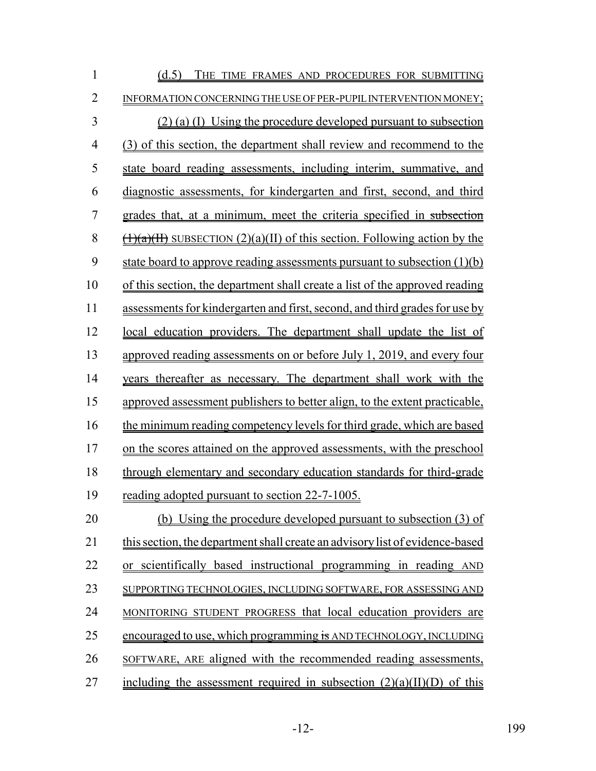| $\mathbf{1}$   | (d.5) THE TIME FRAMES AND PROCEDURES FOR SUBMITTING                                                               |
|----------------|-------------------------------------------------------------------------------------------------------------------|
| $\overline{2}$ | INFORMATION CONCERNING THE USE OF PER-PUPIL INTERVENTION MONEY;                                                   |
| 3              | $(2)$ (a) (I) Using the procedure developed pursuant to subsection                                                |
| $\overline{4}$ | (3) of this section, the department shall review and recommend to the                                             |
| 5              | state board reading assessments, including interim, summative, and                                                |
| 6              | diagnostic assessments, for kindergarten and first, second, and third                                             |
| 7              | grades that, at a minimum, meet the criteria specified in subsection                                              |
| 8              | $\frac{(\frac{1}{(1)(a)(H)}}{\frac{1}{(1)(a)(H)}}$ subsection (2)(a)(II) of this section. Following action by the |
| 9              | state board to approve reading assessments pursuant to subsection $(1)(b)$                                        |
| 10             | of this section, the department shall create a list of the approved reading                                       |
| 11             | assessments for kindergarten and first, second, and third grades for use by                                       |
| 12             | local education providers. The department shall update the list of                                                |
| 13             | approved reading assessments on or before July 1, 2019, and every four                                            |
| 14             | years thereafter as necessary. The department shall work with the                                                 |
| 15             | approved assessment publishers to better align, to the extent practicable,                                        |
| 16             | the minimum reading competency levels for third grade, which are based                                            |
| 17             | on the scores attained on the approved assessments, with the preschool                                            |
| 18             | through elementary and secondary education standards for third-grade                                              |
| 19             | reading adopted pursuant to section 22-7-1005.                                                                    |
| 20             | (b) Using the procedure developed pursuant to subsection (3) of                                                   |
| 21             | this section, the department shall create an advisory list of evidence-based                                      |
| 22             | or scientifically based instructional programming in reading AND                                                  |
| 23             | SUPPORTING TECHNOLOGIES, INCLUDING SOFTWARE, FOR ASSESSING AND                                                    |
| 24             | MONITORING STUDENT PROGRESS that local education providers are                                                    |
| 25             | encouraged to use, which programming is AND TECHNOLOGY, INCLUDING                                                 |
| 26             | SOFTWARE, ARE aligned with the recommended reading assessments,                                                   |
| 27             | including the assessment required in subsection $(2)(a)(II)(D)$ of this                                           |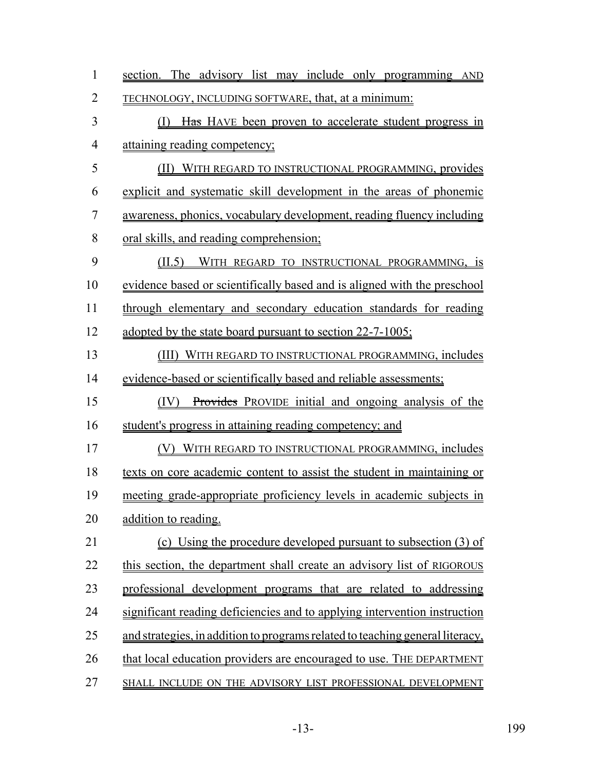| $\mathbf{1}$   | section. The advisory list may include only programming AND                   |
|----------------|-------------------------------------------------------------------------------|
| 2              | <b>TECHNOLOGY, INCLUDING SOFTWARE, that, at a minimum:</b>                    |
| 3              | Has HAVE been proven to accelerate student progress in<br>(I)                 |
| 4              | attaining reading competency;                                                 |
| 5              | (II)<br>WITH REGARD TO INSTRUCTIONAL PROGRAMMING, provides                    |
| 6              | explicit and systematic skill development in the areas of phonemic            |
| $\overline{7}$ | awareness, phonics, vocabulary development, reading fluency including         |
| 8              | <u>oral skills, and reading comprehension;</u>                                |
| 9              | (II.5)<br>WITH REGARD TO INSTRUCTIONAL PROGRAMMING, is                        |
| 10             | evidence based or scientifically based and is aligned with the preschool      |
| 11             | through elementary and secondary education standards for reading              |
| 12             | adopted by the state board pursuant to section 22-7-1005;                     |
| 13             | (III)<br>WITH REGARD TO INSTRUCTIONAL PROGRAMMING, includes                   |
| 14             | evidence-based or scientifically based and reliable assessments;              |
| 15             | Provides PROVIDE initial and ongoing analysis of the<br>(IV)                  |
| 16             | student's progress in attaining reading competency; and                       |
| 17             | WITH REGARD TO INSTRUCTIONAL PROGRAMMING, includes                            |
| 18             | texts on core academic content to assist the student in maintaining or        |
| 19             | meeting grade-appropriate proficiency levels in academic subjects in          |
| 20             | addition to reading.                                                          |
| 21             | (c) Using the procedure developed pursuant to subsection (3) of               |
| 22             | this section, the department shall create an advisory list of RIGOROUS        |
| 23             | professional development programs that are related to addressing              |
| 24             | significant reading deficiencies and to applying intervention instruction     |
| 25             | and strategies, in addition to programs related to teaching general literacy, |
| 26             | that local education providers are encouraged to use. THE DEPARTMENT          |
| 27             | SHALL INCLUDE ON THE ADVISORY LIST PROFESSIONAL DEVELOPMENT                   |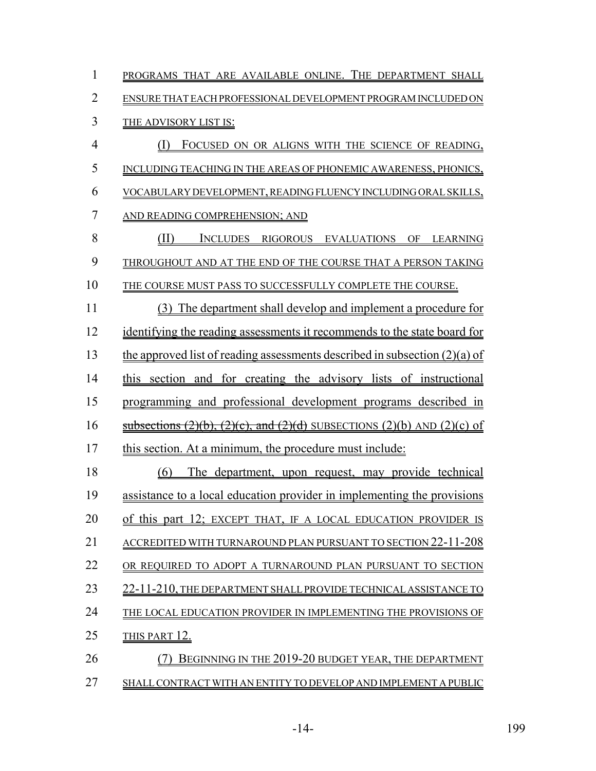| $\mathbf{1}$   | PROGRAMS THAT ARE AVAILABLE ONLINE. THE DEPARTMENT SHALL                            |
|----------------|-------------------------------------------------------------------------------------|
| $\overline{2}$ | ENSURE THAT EACH PROFESSIONAL DEVELOPMENT PROGRAM INCLUDED ON                       |
| 3              | THE ADVISORY LIST IS:                                                               |
| $\overline{4}$ | (I)<br>FOCUSED ON OR ALIGNS WITH THE SCIENCE OF READING,                            |
| 5              | INCLUDING TEACHING IN THE AREAS OF PHONEMIC AWARENESS, PHONICS,                     |
| 6              | VOCABULARY DEVELOPMENT, READING FLUENCY INCLUDING ORAL SKILLS,                      |
| 7              | AND READING COMPREHENSION; AND                                                      |
| 8              | (II)<br>INCLUDES RIGOROUS EVALUATIONS OF LEARNING                                   |
| 9              | THROUGHOUT AND AT THE END OF THE COURSE THAT A PERSON TAKING                        |
| 10             | THE COURSE MUST PASS TO SUCCESSFULLY COMPLETE THE COURSE.                           |
| 11             | (3) The department shall develop and implement a procedure for                      |
| 12             | identifying the reading assessments it recommends to the state board for            |
| 13             | the approved list of reading assessments described in subsection $(2)(a)$ of        |
| 14             | this section and for creating the advisory lists of instructional                   |
| 15             | programming and professional development programs described in                      |
| 16             | subsections $(2)(b)$ , $(2)(c)$ , and $(2)(d)$ SUBSECTIONS $(2)(b)$ AND $(2)(c)$ of |
| 17             | this section. At a minimum, the procedure must include:                             |
| 18             | The department, upon request, may provide technical<br>(6)                          |
| 19             | assistance to a local education provider in implementing the provisions             |
| 20             | of this part 12; EXCEPT THAT, IF A LOCAL EDUCATION PROVIDER IS                      |
| 21             | ACCREDITED WITH TURNAROUND PLAN PURSUANT TO SECTION 22-11-208                       |
| 22             | OR REOUIRED TO ADOPT A TURNAROUND PLAN PURSUANT TO SECTION                          |
| 23             | 22-11-210, THE DEPARTMENT SHALL PROVIDE TECHNICAL ASSISTANCE TO                     |
| 24             | THE LOCAL EDUCATION PROVIDER IN IMPLEMENTING THE PROVISIONS OF                      |
| 25             | THIS PART 12.                                                                       |
| 26             | BEGINNING IN THE 2019-20 BUDGET YEAR, THE DEPARTMENT                                |
| 27             | SHALL CONTRACT WITH AN ENTITY TO DEVELOP AND IMPLEMENT A PUBLIC                     |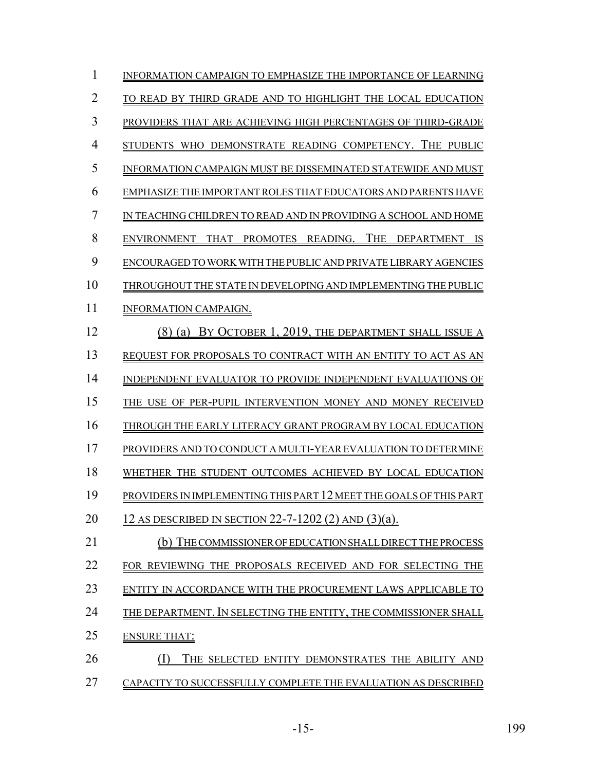| 1  | INFORMATION CAMPAIGN TO EMPHASIZE THE IMPORTANCE OF LEARNING                            |
|----|-----------------------------------------------------------------------------------------|
| 2  | TO READ BY THIRD GRADE AND TO HIGHLIGHT THE LOCAL EDUCATION                             |
| 3  | PROVIDERS THAT ARE ACHIEVING HIGH PERCENTAGES OF THIRD-GRADE                            |
| 4  | WHO DEMONSTRATE READING COMPETENCY. THE PUBLIC<br><b>STUDENTS</b>                       |
| 5  | INFORMATION CAMPAIGN MUST BE DISSEMINATED STATEWIDE AND MUST                            |
| 6  | EMPHASIZE THE IMPORTANT ROLES THAT EDUCATORS AND PARENTS HAVE                           |
| 7  | IN TEACHING CHILDREN TO READ AND IN PROVIDING A SCHOOL AND HOME                         |
| 8  | 'THE<br><b>PROMOTES</b><br>READING.<br><b>DEPARTMENT</b><br>ENVIRONMENT<br>THAT -<br>IS |
| 9  | ENCOURAGED TO WORK WITH THE PUBLIC AND PRIVATE LIBRARY AGENCIES                         |
| 10 | THROUGHOUT THE STATE IN DEVELOPING AND IMPLEMENTING THE PUBLIC                          |
| 11 | INFORMATION CAMPAIGN.                                                                   |
| 12 | BY OCTOBER 1, 2019, THE DEPARTMENT SHALL ISSUE A<br>$(8)$ (a)                           |
| 13 | REOUEST FOR PROPOSALS TO CONTRACT WITH AN ENTITY TO ACT AS                              |
| 14 | INDEPENDENT EVALUATOR TO PROVIDE INDEPENDENT EVALUATIONS OF                             |
| 15 | THE USE OF PER-PUPIL INTERVENTION MONEY AND MONEY RECEIVED                              |
| 16 | THROUGH THE EARLY LITERACY GRANT PROGRAM BY LOCAL EDUCATION                             |
| 17 | PROVIDERS AND TO CONDUCT A MULTI-YEAR EVALUATION TO DETERMINE                           |
| 18 | WHETHER THE STUDENT OUTCOMES ACHIEVED BY LOCAL EDUCATION                                |
| 19 | PROVIDERS IN IMPLEMENTING THIS PART 12 MEET THE GOALS OF THIS PART                      |
| 20 | 12 AS DESCRIBED IN SECTION 22-7-1202 (2) AND $(3)(a)$ .                                 |
| 21 | (b) THE COMMISSIONER OF EDUCATION SHALL DIRECT THE PROCESS                              |
| 22 | FOR REVIEWING THE PROPOSALS RECEIVED AND FOR SELECTING THE                              |
| 23 | ENTITY IN ACCORDANCE WITH THE PROCUREMENT LAWS APPLICABLE TO                            |
| 24 | THE DEPARTMENT. IN SELECTING THE ENTITY, THE COMMISSIONER SHALL                         |
| 25 | <b>ENSURE THAT:</b>                                                                     |
| 26 | THE SELECTED ENTITY DEMONSTRATES THE ABILITY AND                                        |
| 27 | CAPACITY TO SUCCESSFULLY COMPLETE THE EVALUATION AS DESCRIBED                           |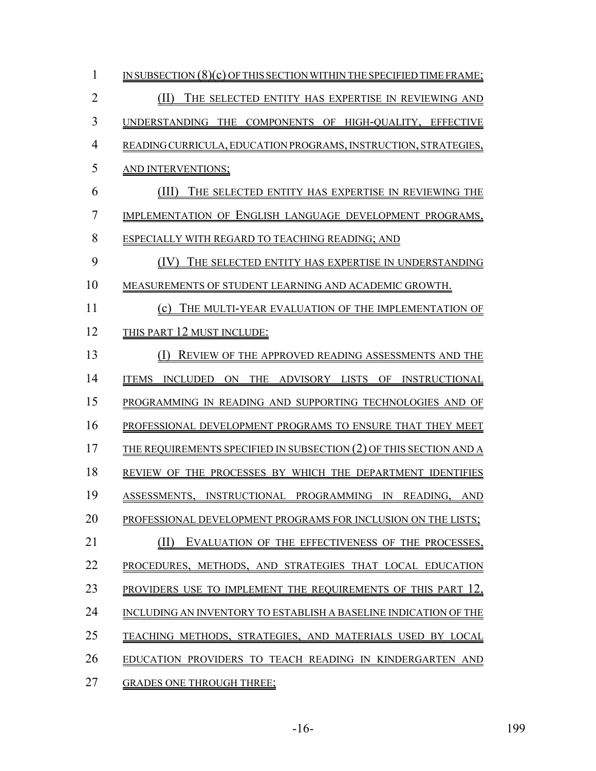| 1  | IN SUBSECTION $(8)(c)$ OF THIS SECTION WITHIN THE SPECIFIED TIME FRAME; |
|----|-------------------------------------------------------------------------|
| 2  | THE SELECTED ENTITY HAS EXPERTISE IN REVIEWING AND<br>(11)              |
| 3  | UNDERSTANDING THE COMPONENTS OF HIGH-OUALITY, EFFECTIVE                 |
| 4  | READING CURRICULA, EDUCATION PROGRAMS, INSTRUCTION, STRATEGIES,         |
| 5  | AND INTERVENTIONS;                                                      |
| 6  | (III) THE SELECTED ENTITY HAS EXPERTISE IN REVIEWING THE                |
| 7  | IMPLEMENTATION OF ENGLISH LANGUAGE DEVELOPMENT PROGRAMS,                |
| 8  | ESPECIALLY WITH REGARD TO TEACHING READING; AND                         |
| 9  | THE SELECTED ENTITY HAS EXPERTISE IN UNDERSTANDING<br>(IV)              |
| 10 | MEASUREMENTS OF STUDENT LEARNING AND ACADEMIC GROWTH.                   |
| 11 | THE MULTI-YEAR EVALUATION OF THE IMPLEMENTATION OF<br>(c)               |
| 12 | THIS PART 12 MUST INCLUDE:                                              |
| 13 | REVIEW OF THE APPROVED READING ASSESSMENTS AND THE                      |
| 14 | INCLUDED<br>THE ADVISORY LISTS OF INSTRUCTIONAL<br><b>ITEMS</b><br>ON   |
| 15 | PROGRAMMING IN READING AND SUPPORTING TECHNOLOGIES AND OF               |
| 16 | PROFESSIONAL DEVELOPMENT PROGRAMS TO ENSURE THAT THEY MEET              |
| 17 | THE REQUIREMENTS SPECIFIED IN SUBSECTION (2) OF THIS SECTION AND A      |
| 18 | REVIEW OF THE PROCESSES BY WHICH THE DEPARTMENT IDENTIFIES              |
| 19 | ASSESSMENTS, INSTRUCTIONAL PROGRAMMING IN READING,<br>– AND             |
| 20 | PROFESSIONAL DEVELOPMENT PROGRAMS FOR INCLUSION ON THE LISTS;           |
| 21 | EVALUATION OF THE EFFECTIVENESS OF THE PROCESSES,                       |
| 22 | PROCEDURES, METHODS, AND STRATEGIES THAT LOCAL EDUCATION                |
| 23 | PROVIDERS USE TO IMPLEMENT THE REQUIREMENTS OF THIS PART 12,            |
| 24 | INCLUDING AN INVENTORY TO ESTABLISH A BASELINE INDICATION OF THE        |
| 25 | TEACHING METHODS, STRATEGIES, AND MATERIALS USED BY LOCAL               |
| 26 | EDUCATION PROVIDERS TO TEACH READING IN KINDERGARTEN AND                |
| 27 | <b>GRADES ONE THROUGH THREE;</b>                                        |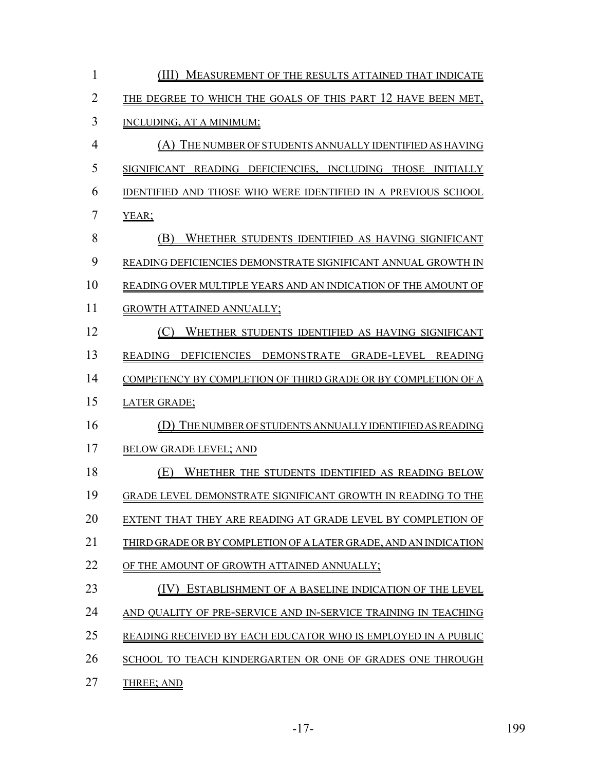| 1              | MEASUREMENT OF THE RESULTS ATTAINED THAT INDICATE<br>(III)            |
|----------------|-----------------------------------------------------------------------|
| $\overline{2}$ | THE DEGREE TO WHICH THE GOALS OF THIS PART 12 HAVE BEEN MET,          |
| 3              | INCLUDING, AT A MINIMUM:                                              |
| $\overline{4}$ | THE NUMBER OF STUDENTS ANNUALLY IDENTIFIED AS HAVING<br>(A)           |
| 5              | SIGNIFICANT READING DEFICIENCIES, INCLUDING THOSE<br><b>INITIALLY</b> |
| 6              | IDENTIFIED AND THOSE WHO WERE IDENTIFIED IN A PREVIOUS SCHOOL         |
| 7              | YEAR;                                                                 |
| 8              | WHETHER STUDENTS IDENTIFIED AS HAVING SIGNIFICANT<br>(B)              |
| 9              | READING DEFICIENCIES DEMONSTRATE SIGNIFICANT ANNUAL GROWTH IN         |
| 10             | READING OVER MULTIPLE YEARS AND AN INDICATION OF THE AMOUNT OF        |
| 11             | <b>GROWTH ATTAINED ANNUALLY;</b>                                      |
| 12             | WHETHER STUDENTS IDENTIFIED AS HAVING SIGNIFICANT<br>(C)              |
| 13             | DEFICIENCIES DEMONSTRATE GRADE-LEVEL READING<br>READING               |
| 14             | COMPETENCY BY COMPLETION OF THIRD GRADE OR BY COMPLETION OF A         |
| 15             | <b>LATER GRADE;</b>                                                   |
| 16             | THE NUMBER OF STUDENTS ANNUALLY IDENTIFIED AS READING<br>(D)          |
| 17             | <b>BELOW GRADE LEVEL; AND</b>                                         |
| 18             | (E)<br>WHETHER THE STUDENTS IDENTIFIED AS READING BELOW               |
| 19             | GRADE LEVEL DEMONSTRATE SIGNIFICANT GROWTH IN READING TO THE          |
| 20             | EXTENT THAT THEY ARE READING AT GRADE LEVEL BY COMPLETION OF          |
| 21             | THIRD GRADE OR BY COMPLETION OF A LATER GRADE, AND AN INDICATION      |
| 22             | OF THE AMOUNT OF GROWTH ATTAINED ANNUALLY;                            |
| 23             | ESTABLISHMENT OF A BASELINE INDICATION OF THE LEVEL                   |
| 24             | AND QUALITY OF PRE-SERVICE AND IN-SERVICE TRAINING IN TEACHING        |
| 25             | READING RECEIVED BY EACH EDUCATOR WHO IS EMPLOYED IN A PUBLIC         |
| 26             | SCHOOL TO TEACH KINDERGARTEN OR ONE OF GRADES ONE THROUGH             |
| 27             | THREE; AND                                                            |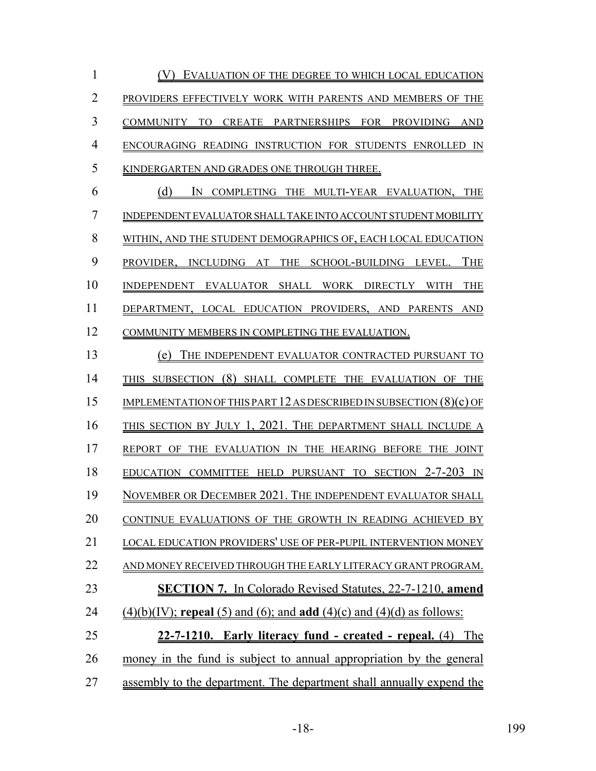1 (V) EVALUATION OF THE DEGREE TO WHICH LOCAL EDUCATION PROVIDERS EFFECTIVELY WORK WITH PARENTS AND MEMBERS OF THE COMMUNITY TO CREATE PARTNERSHIPS FOR PROVIDING AND ENCOURAGING READING INSTRUCTION FOR STUDENTS ENROLLED IN KINDERGARTEN AND GRADES ONE THROUGH THREE. (d) IN COMPLETING THE MULTI-YEAR EVALUATION, THE INDEPENDENT EVALUATOR SHALL TAKE INTO ACCOUNT STUDENT MOBILITY WITHIN, AND THE STUDENT DEMOGRAPHICS OF, EACH LOCAL EDUCATION PROVIDER, INCLUDING AT THE SCHOOL-BUILDING LEVEL. THE INDEPENDENT EVALUATOR SHALL WORK DIRECTLY WITH THE DEPARTMENT, LOCAL EDUCATION PROVIDERS, AND PARENTS AND COMMUNITY MEMBERS IN COMPLETING THE EVALUATION. (e) THE INDEPENDENT EVALUATOR CONTRACTED PURSUANT TO 14 THIS SUBSECTION (8) SHALL COMPLETE THE EVALUATION OF THE IMPLEMENTATION OF THIS PART 12 AS DESCRIBED IN SUBSECTION (8)(c) OF THIS SECTION BY JULY 1, 2021. THE DEPARTMENT SHALL INCLUDE A REPORT OF THE EVALUATION IN THE HEARING BEFORE THE JOINT 18 EDUCATION COMMITTEE HELD PURSUANT TO SECTION 2-7-203 IN NOVEMBER OR DECEMBER 2021. THE INDEPENDENT EVALUATOR SHALL 20 CONTINUE EVALUATIONS OF THE GROWTH IN READING ACHIEVED BY LOCAL EDUCATION PROVIDERS' USE OF PER-PUPIL INTERVENTION MONEY AND MONEY RECEIVED THROUGH THE EARLY LITERACY GRANT PROGRAM. **SECTION 7.** In Colorado Revised Statutes, 22-7-1210, **amend** (4)(b)(IV); **repeal** (5) and (6); and **add** (4)(c) and (4)(d) as follows: **22-7-1210. Early literacy fund - created - repeal.** (4) The money in the fund is subject to annual appropriation by the general assembly to the department. The department shall annually expend the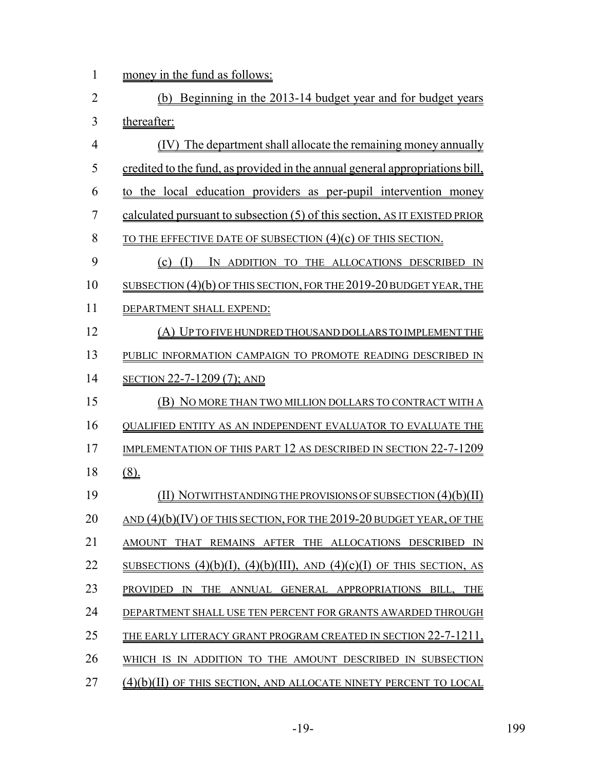1 money in the fund as follows:

| $\overline{2}$ | Beginning in the 2013-14 budget year and for budget years<br>(b)              |
|----------------|-------------------------------------------------------------------------------|
| 3              | thereafter:                                                                   |
| $\overline{4}$ | (IV) The department shall allocate the remaining money annually               |
| 5              | credited to the fund, as provided in the annual general appropriations bill,  |
| 6              | to the local education providers as per-pupil intervention money              |
| $\overline{7}$ | calculated pursuant to subsection (5) of this section, AS IT EXISTED PRIOR    |
| 8              | <u>TO THE EFFECTIVE DATE OF SUBSECTION (4)(c) OF THIS SECTION.</u>            |
| 9              | $(c)$ (I)<br>IN ADDITION TO THE ALLOCATIONS DESCRIBED IN                      |
| 10             | SUBSECTION $(4)(b)$ OF THIS SECTION, FOR THE 2019-20 BUDGET YEAR, THE         |
| 11             | DEPARTMENT SHALL EXPEND:                                                      |
| 12             | (A) UP TO FIVE HUNDRED THOUSAND DOLLARS TO IMPLEMENT THE                      |
| 13             | PUBLIC INFORMATION CAMPAIGN TO PROMOTE READING DESCRIBED IN                   |
| 14             | SECTION 22-7-1209 (7); AND                                                    |
| 15             | (B) NO MORE THAN TWO MILLION DOLLARS TO CONTRACT WITH A                       |
| 16             | QUALIFIED ENTITY AS AN INDEPENDENT EVALUATOR TO EVALUATE THE                  |
| 17             | IMPLEMENTATION OF THIS PART 12 AS DESCRIBED IN SECTION 22-7-1209              |
| 18             | $(8)$ .                                                                       |
| 19             | (II) NOTWITHSTANDING THE PROVISIONS OF SUBSECTION $(4)(b)(II)$                |
| 20             | <u>AND (4)(b)(IV) OF THIS SECTION, FOR THE 2019-20 BUDGET YEAR, OF THE</u>    |
| 21             | AMOUNT THAT REMAINS AFTER THE ALLOCATIONS DESCRIBED IN                        |
| 22             | SUBSECTIONS $(4)(b)(I)$ , $(4)(b)(III)$ , AND $(4)(c)(I)$ OF THIS SECTION, AS |
| 23             | PROVIDED IN THE ANNUAL GENERAL APPROPRIATIONS BILL, THE                       |
| 24             | DEPARTMENT SHALL USE TEN PERCENT FOR GRANTS AWARDED THROUGH                   |
| 25             | <u>THE EARLY LITERACY GRANT PROGRAM CREATED IN SECTION 22-7-1211,</u>         |
| 26             | WHICH IS IN ADDITION TO THE AMOUNT DESCRIBED IN SUBSECTION                    |
| 27             | (4)(b)(II) OF THIS SECTION, AND ALLOCATE NINETY PERCENT TO LOCAL              |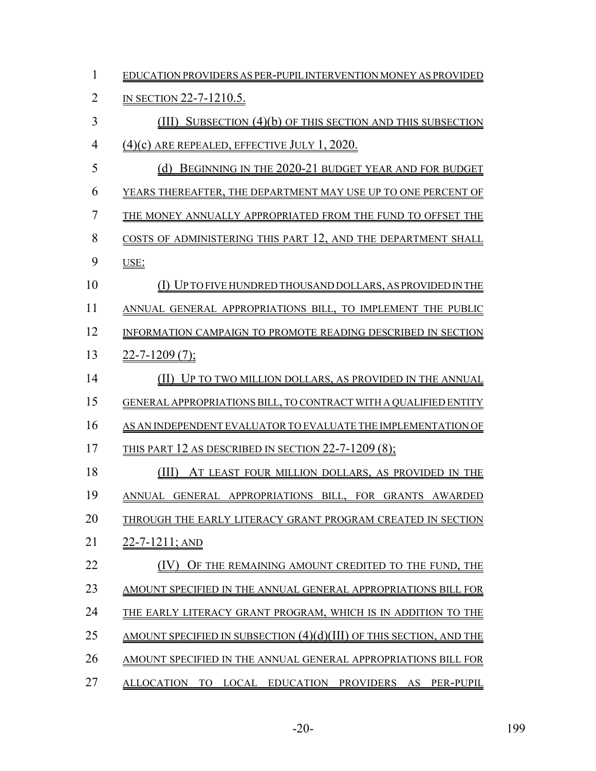| $\mathbf{1}$   | EDUCATION PROVIDERS AS PER-PUPIL INTERVENTION MONEY AS PROVIDED                         |
|----------------|-----------------------------------------------------------------------------------------|
| $\overline{2}$ | <u>IN SECTION 22-7-1210.5.</u>                                                          |
| 3              | SUBSECTION (4)(b) OF THIS SECTION AND THIS SUBSECTION<br>(III)                          |
| $\overline{4}$ | $(4)(c)$ are repealed, effective July 1, 2020.                                          |
| 5              | BEGINNING IN THE 2020-21 BUDGET YEAR AND FOR BUDGET<br>(d)                              |
| 6              | YEARS THEREAFTER, THE DEPARTMENT MAY USE UP TO ONE PERCENT OF                           |
| 7              | THE MONEY ANNUALLY APPROPRIATED FROM THE FUND TO OFFSET THE                             |
| 8              | COSTS OF ADMINISTERING THIS PART 12, AND THE DEPARTMENT SHALL                           |
| 9              | USE:                                                                                    |
| 10             | <u>(I) UP TO FIVE HUNDRED THOUSAND DOLLARS, AS PROVIDED IN THE</u>                      |
| 11             | ANNUAL GENERAL APPROPRIATIONS BILL, TO IMPLEMENT THE PUBLIC                             |
| 12             | INFORMATION CAMPAIGN TO PROMOTE READING DESCRIBED IN SECTION                            |
| 13             | $22 - 7 - 1209(7);$                                                                     |
| 14             | <u>(II) UP TO TWO MILLION DOLLARS, AS PROVIDED IN THE ANNUAL</u>                        |
| 15             | <b>GENERAL APPROPRIATIONS BILL, TO CONTRACT WITH A QUALIFIED ENTITY</b>                 |
| 16             | AS AN INDEPENDENT EVALUATOR TO EVALUATE THE IMPLEMENTATION OF                           |
| 17             | THIS PART 12 AS DESCRIBED IN SECTION 22-7-1209 $(8)$ ;                                  |
| 18             | (III)<br>AT LEAST FOUR MILLION DOLLARS, AS PROVIDED IN THE                              |
| 19             | ANNUAL GENERAL APPROPRIATIONS BILL, FOR GRANTS AWARDED                                  |
| 20             | THROUGH THE EARLY LITERACY GRANT PROGRAM CREATED IN SECTION                             |
| 21             | $22 - 7 - 1211$ ; AND                                                                   |
| 22             | (IV) OF THE REMAINING AMOUNT CREDITED TO THE FUND, THE                                  |
| 23             | AMOUNT SPECIFIED IN THE ANNUAL GENERAL APPROPRIATIONS BILL FOR                          |
| 24             | THE EARLY LITERACY GRANT PROGRAM, WHICH IS IN ADDITION TO THE                           |
| 25             | <u>AMOUNT SPECIFIED IN SUBSECTION <math>(4)(d)(III)</math> OF THIS SECTION, AND THE</u> |
| 26             | AMOUNT SPECIFIED IN THE ANNUAL GENERAL APPROPRIATIONS BILL FOR                          |
| 27             | ALLOCATION TO LOCAL EDUCATION PROVIDERS AS PER-PUPIL                                    |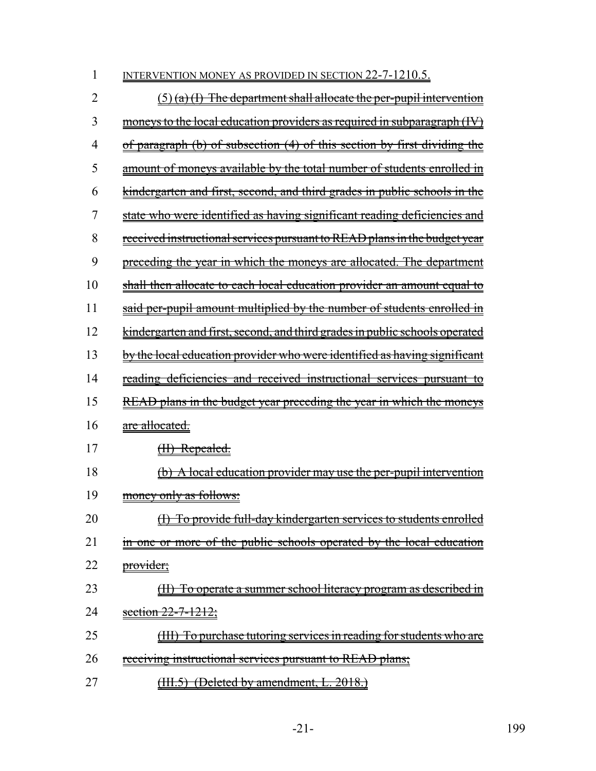| 1  | <u>INTERVENTION MONEY AS PROVIDED IN SECTION 22-7-1210.5.</u>                      |
|----|------------------------------------------------------------------------------------|
| 2  | $(5)$ (a) (I) The department shall allocate the per-pupil intervention             |
| 3  | <u>moneys to the local education providers as required in subparagraph (IV)</u>    |
| 4  | of paragraph (b) of subsection (4) of this section by first dividing the           |
| 5  | <u>amount of moneys available by the total number of students enrolled in</u>      |
| 6  | kindergarten and first, second, and third grades in public schools in the          |
| 7  | state who were identified as having significant reading deficiencies and           |
| 8  | received instructional services pursuant to READ plans in the budget year          |
| 9  | preceding the year in which the moneys are allocated. The department               |
| 10 | shall then allocate to each local education provider an amount equal to            |
| 11 | said per-pupil amount multiplied by the number of students enrolled in             |
| 12 | <u>kindergarten and first, second, and third grades in public schools operated</u> |
| 13 | by the local education provider who were identified as having significant          |
| 14 | <u>reading deficiencies and received instructional services pursuant to</u>        |
| 15 | <u>READ plans in the budget year preceding the year in which the moneys</u>        |
| 16 | <u>are allocated.</u>                                                              |
| 17 | (II) Repealed.                                                                     |
| 18 | <u>(b) A local education provider may use the per-pupil intervention</u>           |
| 19 | money only as follows:                                                             |
| 20 | <u>(I) To provide full-day kindergarten services to students enrolled</u>          |
| 21 | in one or more of the public schools operated by the local education               |
| 22 | provider;                                                                          |
| 23 | (II) To operate a summer school literacy program as described in                   |
| 24 | section $22 - 7 - 1212$ ;                                                          |
| 25 | (III) To purchase tutoring services in reading for students who are                |
| 26 | <u>receiving instructional services pursuant to READ plans;</u>                    |
| 27 | <u>(III.5) (Deleted by amendment, L. 2018.)</u>                                    |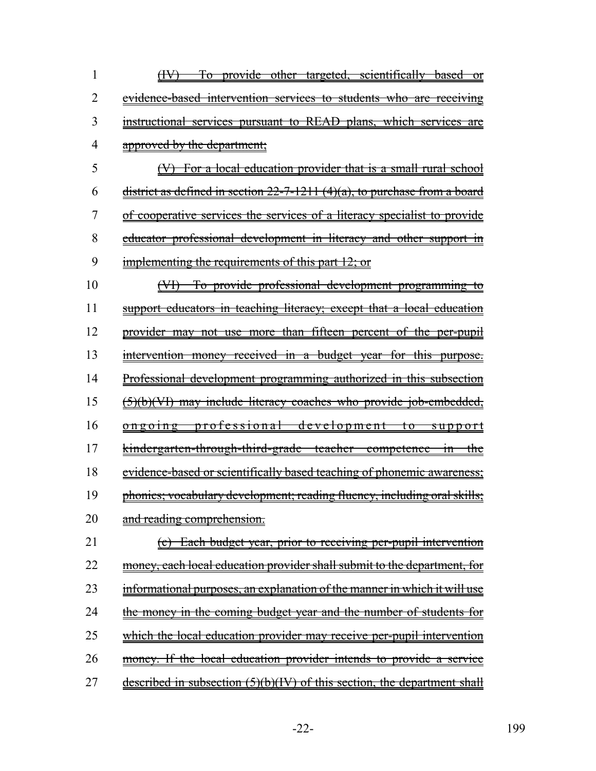| 1  | (IV) To provide other targeted, scientifically based or                       |
|----|-------------------------------------------------------------------------------|
| 2  | evidence-based intervention services to students who are receiving            |
| 3  | instructional services pursuant to READ plans, which services are             |
| 4  | approved by the department;                                                   |
| 5  | (V) For a local education provider that is a small rural school               |
| 6  | district as defined in section $22-7-1211$ (4)(a), to purchase from a board   |
| 7  | of cooperative services the services of a literacy specialist to provide      |
| 8  | educator professional development in literacy and other support in            |
| 9  | implementing the requirements of this part 12; or                             |
| 10 | (VI) To provide professional development programming to                       |
| 11 | support educators in teaching literacy; except that a local education         |
| 12 | provider may not use more than fifteen percent of the per-pupil               |
| 13 | intervention money received in a budget year for this purpose.                |
| 14 | Professional development programming authorized in this subsection            |
| 15 | (5)(b)(VI) may include literacy coaches who provide job-embedded,             |
| 16 | ongoing professional development to support                                   |
| 17 | <u>kindergarten-through-third-grade teacher competence in the</u>             |
| 18 | <u>evidence-based or scientifically based teaching of phonemic awareness;</u> |
| 19 | phonics; vocabulary development; reading fluency, including oral skills;      |
| 20 | and reading comprehension.                                                    |
| 21 | (c) Each budget year, prior to receiving per-pupil intervention               |
| 22 | money, each local education provider shall submit to the department, for      |
| 23 | informational purposes, an explanation of the manner in which it will use     |
| 24 | the money in the coming budget year and the number of students for            |
| 25 | which the local education provider may receive per-pupil intervention         |
| 26 | money. If the local education provider intends to provide a service           |
| 27 | described in subsection (5)(b)(IV) of this section, the department shall      |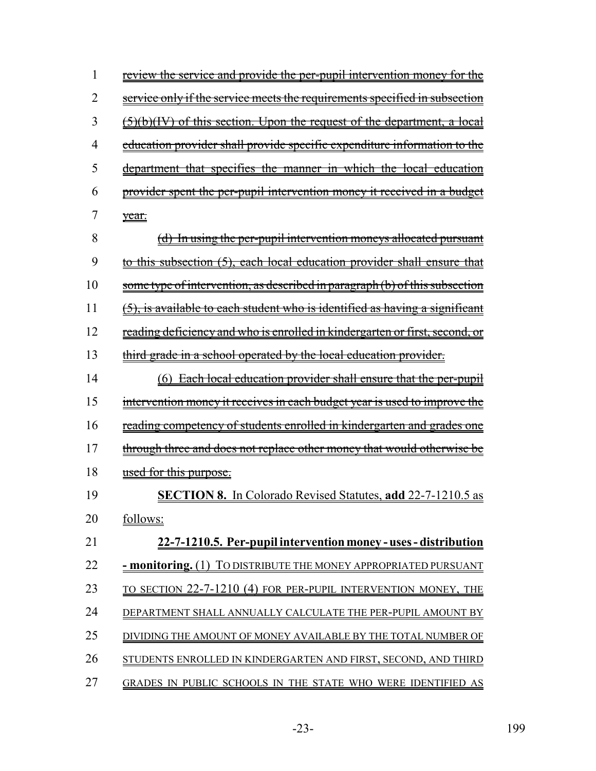| 1  | <u>review the service and provide the per-pupil intervention money for the</u>     |
|----|------------------------------------------------------------------------------------|
| 2  | service only if the service meets the requirements specified in subsection         |
| 3  | (5)(b)(IV) of this section. Upon the request of the department, a local            |
| 4  | education provider shall provide specific expenditure information to the           |
| 5  | department that specifies the manner in which the local education                  |
| 6  | provider spent the per-pupil intervention money it received in a budget            |
| 7  | year.                                                                              |
| 8  | (d) In using the per-pupil intervention moneys allocated pursuant                  |
| 9  | <u>to this subsection (5), each local education provider shall ensure that</u>     |
| 10 | <u>some type of intervention, as described in paragraph (b) of this subsection</u> |
| 11 | (5), is available to each student who is identified as having a significant        |
| 12 | <u>reading deficiency and who is enrolled in kindergarten or first, second, or</u> |
| 13 | third grade in a school operated by the local education provider.                  |
| 14 | (6) Each local education provider shall ensure that the per-pupil                  |
| 15 | intervention money it receives in each budget year is used to improve the          |
| 16 | <u>reading competency of students enrolled in kindergarten and grades one</u>      |
| 17 | through three and does not replace other money that would otherwise be             |
| 18 | <u>used for this purpose.</u>                                                      |
| 19 | <b>SECTION 8.</b> In Colorado Revised Statutes, add 22-7-1210.5 as                 |
| 20 | follows:                                                                           |
| 21 | 22-7-1210.5. Per-pupil intervention money - uses - distribution                    |
| 22 | - monitoring. (1) TO DISTRIBUTE THE MONEY APPROPRIATED PURSUANT                    |
| 23 | TO SECTION 22-7-1210 (4) FOR PER-PUPIL INTERVENTION MONEY, THE                     |
| 24 | DEPARTMENT SHALL ANNUALLY CALCULATE THE PER-PUPIL AMOUNT BY                        |
| 25 | DIVIDING THE AMOUNT OF MONEY AVAILABLE BY THE TOTAL NUMBER OF                      |
| 26 | STUDENTS ENROLLED IN KINDERGARTEN AND FIRST, SECOND, AND THIRD                     |
| 27 | GRADES IN PUBLIC SCHOOLS IN THE STATE WHO WERE IDENTIFIED AS                       |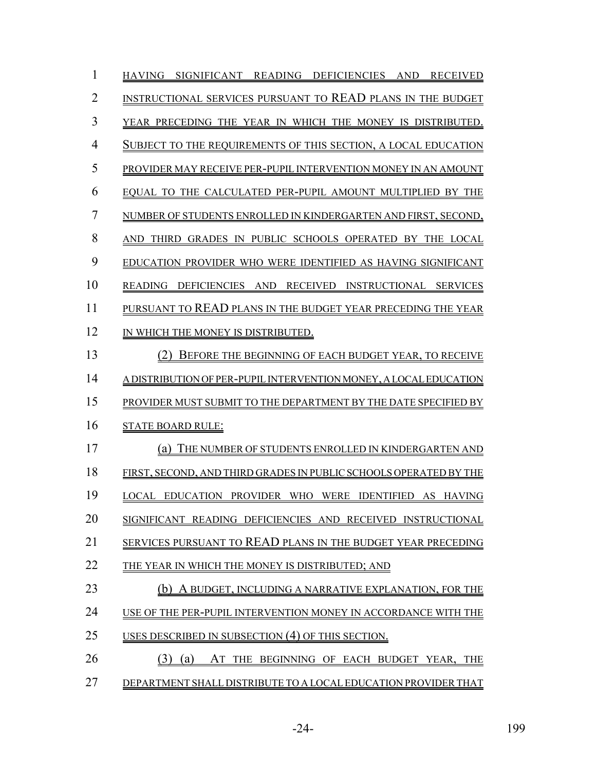| 1              | HAVING SIGNIFICANT READING DEFICIENCIES AND RECEIVED              |
|----------------|-------------------------------------------------------------------|
| $\overline{2}$ | INSTRUCTIONAL SERVICES PURSUANT TO READ PLANS IN THE BUDGET       |
| 3              | YEAR PRECEDING THE YEAR IN WHICH THE MONEY IS DISTRIBUTED.        |
| $\overline{4}$ | SUBJECT TO THE REQUIREMENTS OF THIS SECTION, A LOCAL EDUCATION    |
| 5              | PROVIDER MAY RECEIVE PER-PUPIL INTERVENTION MONEY IN AN AMOUNT    |
| 6              | EQUAL TO THE CALCULATED PER-PUPIL AMOUNT MULTIPLIED BY THE        |
| 7              | NUMBER OF STUDENTS ENROLLED IN KINDERGARTEN AND FIRST, SECOND,    |
| 8              | AND THIRD GRADES IN PUBLIC SCHOOLS OPERATED BY THE LOCAL          |
| 9              | EDUCATION PROVIDER WHO WERE IDENTIFIED AS HAVING SIGNIFICANT      |
| 10             | READING DEFICIENCIES AND RECEIVED INSTRUCTIONAL SERVICES          |
| 11             | PURSUANT TO READ PLANS IN THE BUDGET YEAR PRECEDING THE YEAR      |
| 12             | IN WHICH THE MONEY IS DISTRIBUTED.                                |
| 13             | (2) BEFORE THE BEGINNING OF EACH BUDGET YEAR, TO RECEIVE          |
| 14             | A DISTRIBUTION OF PER-PUPIL INTERVENTION MONEY, A LOCAL EDUCATION |
| 15             | PROVIDER MUST SUBMIT TO THE DEPARTMENT BY THE DATE SPECIFIED BY   |
| 16             | <b>STATE BOARD RULE:</b>                                          |
| 17             | (a) THE NUMBER OF STUDENTS ENROLLED IN KINDERGARTEN AND           |
| 18             | FIRST, SECOND, AND THIRD GRADES IN PUBLIC SCHOOLS OPERATED BY THE |
| 19             | LOCAL EDUCATION PROVIDER WHO WERE IDENTIFIED AS HAVING            |
| 20             | SIGNIFICANT READING DEFICIENCIES AND RECEIVED INSTRUCTIONAL       |
| 21             | SERVICES PURSUANT TO READ PLANS IN THE BUDGET YEAR PRECEDING      |
| 22             | THE YEAR IN WHICH THE MONEY IS DISTRIBUTED; AND                   |
| 23             | (b) A BUDGET, INCLUDING A NARRATIVE EXPLANATION, FOR THE          |
| 24             | USE OF THE PER-PUPIL INTERVENTION MONEY IN ACCORDANCE WITH THE    |
| 25             | USES DESCRIBED IN SUBSECTION (4) OF THIS SECTION.                 |
| 26             | $(3)$ $(a)$<br>AT THE BEGINNING OF EACH BUDGET YEAR, THE          |
| 27             | DEPARTMENT SHALL DISTRIBUTE TO A LOCAL EDUCATION PROVIDER THAT    |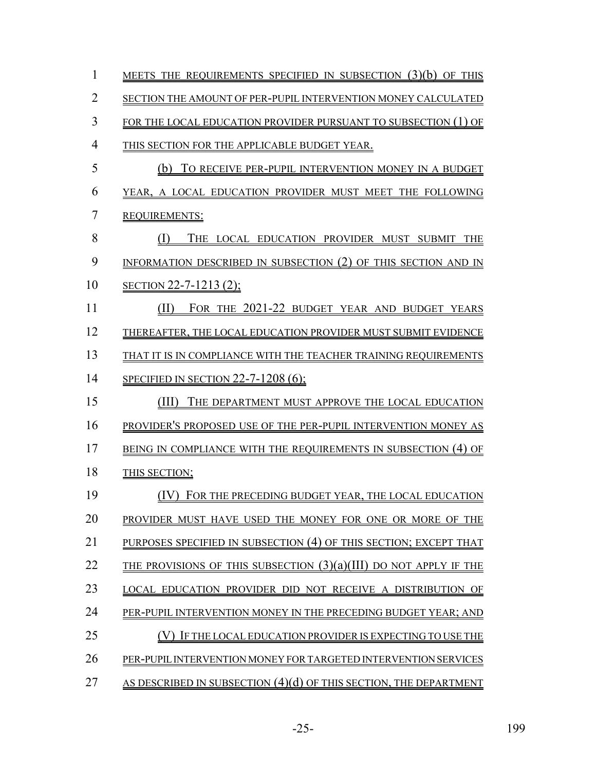| 1              | MEETS THE REQUIREMENTS SPECIFIED IN SUBSECTION (3)(b) OF THIS       |
|----------------|---------------------------------------------------------------------|
| $\overline{2}$ | SECTION THE AMOUNT OF PER-PUPIL INTERVENTION MONEY CALCULATED       |
| 3              | FOR THE LOCAL EDUCATION PROVIDER PURSUANT TO SUBSECTION (1) OF      |
| 4              | THIS SECTION FOR THE APPLICABLE BUDGET YEAR.                        |
| 5              | TO RECEIVE PER-PUPIL INTERVENTION MONEY IN A BUDGET<br>(b)          |
| 6              | YEAR, A LOCAL EDUCATION PROVIDER MUST MEET THE FOLLOWING            |
| 7              | <b>REQUIREMENTS:</b>                                                |
| 8              | THE LOCAL EDUCATION PROVIDER MUST SUBMIT<br>(1)<br>THE              |
| 9              | INFORMATION DESCRIBED IN SUBSECTION (2) OF THIS SECTION AND IN      |
| 10             | SECTION 22-7-1213 (2);                                              |
| 11             | FOR THE 2021-22 BUDGET YEAR AND BUDGET YEARS<br>(II)                |
| 12             | THEREAFTER, THE LOCAL EDUCATION PROVIDER MUST SUBMIT EVIDENCE       |
| 13             | THAT IT IS IN COMPLIANCE WITH THE TEACHER TRAINING REOUIREMENTS     |
| 14             | SPECIFIED IN SECTION 22-7-1208 (6);                                 |
| 15             | (III)<br>THE DEPARTMENT MUST APPROVE THE LOCAL EDUCATION            |
| 16             | PROVIDER'S PROPOSED USE OF THE PER-PUPIL INTERVENTION MONEY AS      |
| 17             | BEING IN COMPLIANCE WITH THE REQUIREMENTS IN SUBSECTION (4) OF      |
| 18             | THIS SECTION;                                                       |
| 19             | (IV) FOR THE PRECEDING BUDGET YEAR, THE LOCAL EDUCATION             |
| 20             | PROVIDER MUST HAVE USED THE MONEY FOR ONE OR MORE OF THE            |
| 21             | PURPOSES SPECIFIED IN SUBSECTION (4) OF THIS SECTION; EXCEPT THAT   |
| 22             | THE PROVISIONS OF THIS SUBSECTION $(3)(a)(III)$ DO NOT APPLY IF THE |
| 23             | LOCAL EDUCATION PROVIDER DID NOT RECEIVE A DISTRIBUTION OF          |
| 24             | PER-PUPIL INTERVENTION MONEY IN THE PRECEDING BUDGET YEAR; AND      |
| 25             | IF THE LOCAL EDUCATION PROVIDER IS EXPECTING TO USE THE             |
| 26             | PER-PUPIL INTERVENTION MONEY FOR TARGETED INTERVENTION SERVICES     |
| 27             | AS DESCRIBED IN SUBSECTION $(4)(d)$ OF THIS SECTION, THE DEPARTMENT |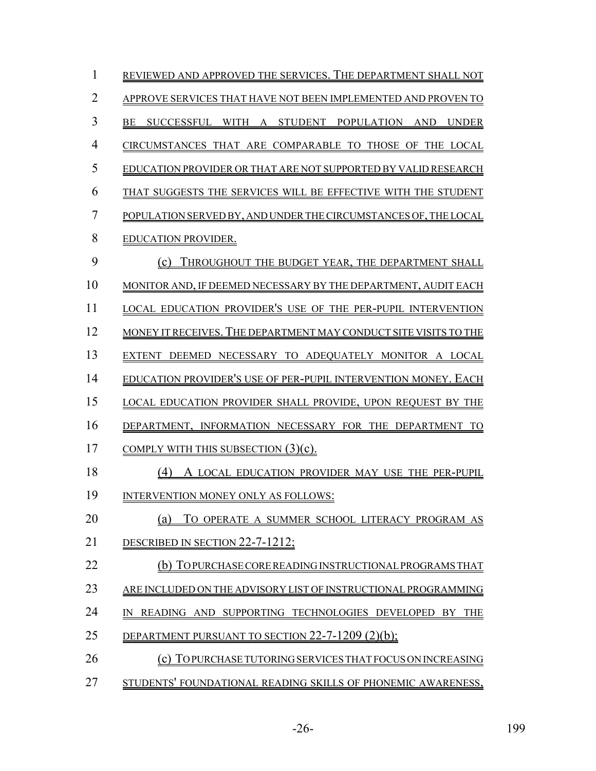| $\mathbf{1}$   | REVIEWED AND APPROVED THE SERVICES. THE DEPARTMENT SHALL NOT       |
|----------------|--------------------------------------------------------------------|
| $\overline{2}$ | APPROVE SERVICES THAT HAVE NOT BEEN IMPLEMENTED AND PROVEN TO      |
| 3              | SUCCESSFUL WITH A STUDENT POPULATION AND UNDER<br>BE               |
| $\overline{4}$ | CIRCUMSTANCES THAT ARE COMPARABLE TO THOSE OF THE LOCAL            |
| 5              | EDUCATION PROVIDER OR THAT ARE NOT SUPPORTED BY VALID RESEARCH     |
| 6              | THAT SUGGESTS THE SERVICES WILL BE EFFECTIVE WITH THE STUDENT      |
| $\overline{7}$ | POPULATION SERVED BY, AND UNDER THE CIRCUMSTANCES OF, THE LOCAL    |
| 8              | <b>EDUCATION PROVIDER.</b>                                         |
| 9              | THROUGHOUT THE BUDGET YEAR, THE DEPARTMENT SHALL<br>(c)            |
| 10             | MONITOR AND, IF DEEMED NECESSARY BY THE DEPARTMENT, AUDIT EACH     |
| 11             | LOCAL EDUCATION PROVIDER'S USE OF THE PER-PUPIL INTERVENTION       |
| 12             | MONEY IT RECEIVES. THE DEPARTMENT MAY CONDUCT SITE VISITS TO THE   |
| 13             | EXTENT DEEMED NECESSARY TO ADEQUATELY MONITOR A LOCAL              |
| 14             | EDUCATION PROVIDER'S USE OF PER-PUPIL INTERVENTION MONEY. EACH     |
| 15             | <b>LOCAL EDUCATION PROVIDER SHALL PROVIDE, UPON REQUEST BY THE</b> |
| 16             | DEPARTMENT, INFORMATION NECESSARY FOR THE DEPARTMENT TO            |
| 17             | COMPLY WITH THIS SUBSECTION $(3)(c)$ .                             |
| 18             | (4)<br>A LOCAL EDUCATION PROVIDER MAY USE THE PER-PUPIL            |
| 19             | INTERVENTION MONEY ONLY AS FOLLOWS:                                |
| 20             | TO OPERATE A SUMMER SCHOOL LITERACY PROGRAM AS<br>(a)              |
| 21             | DESCRIBED IN SECTION 22-7-1212;                                    |
| 22             | (b) TOPURCHASE CORE READING INSTRUCTIONAL PROGRAMS THAT            |
| 23             | ARE INCLUDED ON THE ADVISORY LIST OF INSTRUCTIONAL PROGRAMMING     |
| 24             | IN READING AND SUPPORTING TECHNOLOGIES DEVELOPED BY THE            |
| 25             | DEPARTMENT PURSUANT TO SECTION $22$ -7-1209 (2)(b);                |
| 26             | (c) TOPURCHASE TUTORING SERVICES THAT FOCUS ON INCREASING          |
| 27             | STUDENTS' FOUNDATIONAL READING SKILLS OF PHONEMIC AWARENESS,       |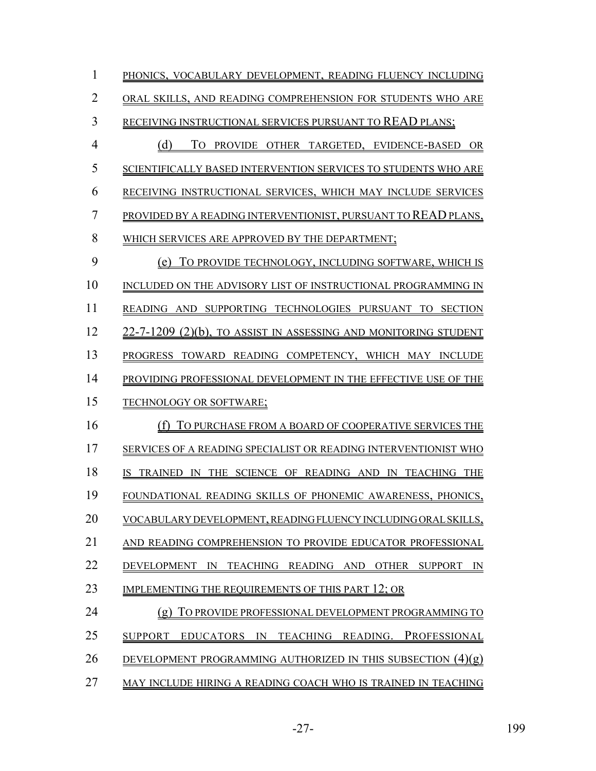| 1              | PHONICS, VOCABULARY DEVELOPMENT, READING FLUENCY INCLUDING                                                   |
|----------------|--------------------------------------------------------------------------------------------------------------|
| $\overline{2}$ | ORAL SKILLS, AND READING COMPREHENSION FOR STUDENTS WHO ARE                                                  |
| 3              | RECEIVING INSTRUCTIONAL SERVICES PURSUANT TO READ PLANS;                                                     |
| $\overline{4}$ | (d)<br>TO PROVIDE OTHER TARGETED, EVIDENCE-BASED OR                                                          |
| 5              | SCIENTIFICALLY BASED INTERVENTION SERVICES TO STUDENTS WHO ARE                                               |
| 6              | RECEIVING INSTRUCTIONAL SERVICES, WHICH MAY INCLUDE SERVICES                                                 |
| 7              | PROVIDED BY A READING INTERVENTIONIST, PURSUANT TO READ PLANS,                                               |
| 8              | WHICH SERVICES ARE APPROVED BY THE DEPARTMENT;                                                               |
| 9              | TO PROVIDE TECHNOLOGY, INCLUDING SOFTWARE, WHICH IS<br>(e)                                                   |
| 10             | INCLUDED ON THE ADVISORY LIST OF INSTRUCTIONAL PROGRAMMING IN                                                |
| 11             | READING AND SUPPORTING TECHNOLOGIES PURSUANT TO SECTION                                                      |
| 12             | 22-7-1209 (2)(b), TO ASSIST IN ASSESSING AND MONITORING STUDENT                                              |
| 13             | PROGRESS TOWARD READING COMPETENCY, WHICH MAY INCLUDE                                                        |
| 14             | PROVIDING PROFESSIONAL DEVELOPMENT IN THE EFFECTIVE USE OF THE                                               |
| 15             | TECHNOLOGY OR SOFTWARE;                                                                                      |
| 16             | TO PURCHASE FROM A BOARD OF COOPERATIVE SERVICES THE<br>(f)                                                  |
| 17             | SERVICES OF A READING SPECIALIST OR READING INTERVENTIONIST WHO                                              |
| 18             | TRAINED IN THE SCIENCE OF READING AND IN TEACHING THE<br>IS.                                                 |
| 19             | FOUNDATIONAL READING SKILLS OF PHONEMIC AWARENESS, PHONICS,                                                  |
| 20             | VOCABULARY DEVELOPMENT, READING FLUENCY INCLUDING ORAL SKILLS,                                               |
| 21             | AND READING COMPREHENSION TO PROVIDE EDUCATOR PROFESSIONAL                                                   |
| 22             | <b>DEVELOPMENT</b><br>READING AND<br><b>OTHER</b><br><b>SUPPORT</b><br>$\mathbb{N}$<br><b>TEACHING</b><br>IN |
| 23             | IMPLEMENTING THE REQUIREMENTS OF THIS PART 12; OR                                                            |
| 24             | TO PROVIDE PROFESSIONAL DEVELOPMENT PROGRAMMING TO<br>(g)                                                    |
| 25             | <b>PROFESSIONAL</b><br><b>SUPPORT</b><br>TEACHING READING.<br><b>EDUCATORS</b><br>IN                         |
| 26             | DEVELOPMENT PROGRAMMING AUTHORIZED IN THIS SUBSECTION (4)(g)                                                 |
| 27             | MAY INCLUDE HIRING A READING COACH WHO IS TRAINED IN TEACHING                                                |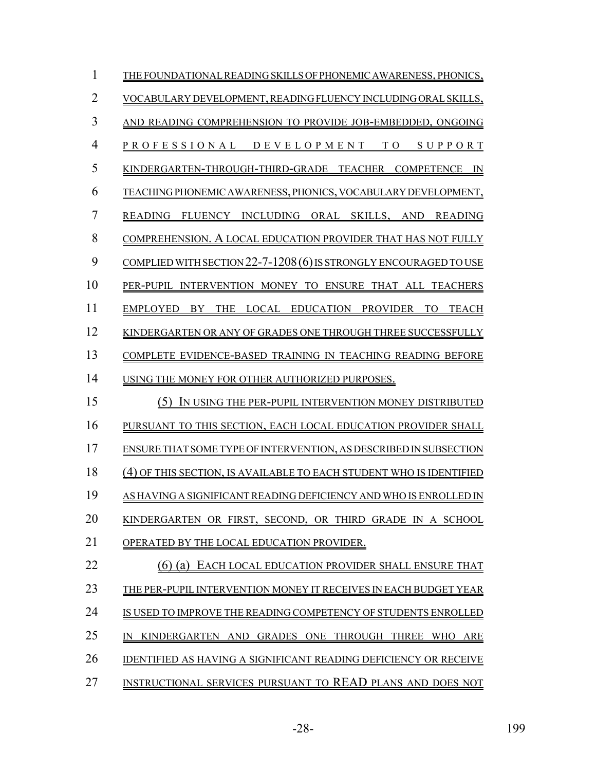| 1              | THE FOUNDATIONAL READING SKILLS OF PHONEMIC AWARENESS, PHONICS,                                           |
|----------------|-----------------------------------------------------------------------------------------------------------|
| $\overline{2}$ | VOCABULARY DEVELOPMENT, READING FLUENCY INCLUDING ORAL SKILLS,                                            |
| 3              | AND READING COMPREHENSION TO PROVIDE JOB-EMBEDDED, ONGOING                                                |
| 4              | PROFESSIONAL DEVELOPMENT TO<br>SUPPORT                                                                    |
| 5              | KINDERGARTEN-THROUGH-THIRD-GRADE TEACHER<br><b>COMPETENCE</b><br>IN                                       |
| 6              | TEACHING PHONEMIC AWARENESS, PHONICS, VOCABULARY DEVELOPMENT,                                             |
| 7              | FLUENCY INCLUDING ORAL SKILLS, AND READING<br><b>READING</b>                                              |
| 8              | COMPREHENSION. A LOCAL EDUCATION PROVIDER THAT HAS NOT FULLY                                              |
| 9              | COMPLIED WITH SECTION 22-7-1208 (6) IS STRONGLY ENCOURAGED TO USE                                         |
| 10             | PER-PUPIL INTERVENTION MONEY TO ENSURE THAT ALL TEACHERS                                                  |
| 11             | LOCAL EDUCATION PROVIDER<br><b>EMPLOYED</b><br><b>BY</b><br><b>THE</b><br>TO <sub>1</sub><br><b>TEACH</b> |
| 12             | KINDERGARTEN OR ANY OF GRADES ONE THROUGH THREE SUCCESSFULLY                                              |
| 13             | COMPLETE EVIDENCE-BASED TRAINING IN TEACHING READING BEFORE                                               |
| 14             | USING THE MONEY FOR OTHER AUTHORIZED PURPOSES.                                                            |
| 15             | IN USING THE PER-PUPIL INTERVENTION MONEY DISTRIBUTED<br>(5)                                              |
| 16             | PURSUANT TO THIS SECTION, EACH LOCAL EDUCATION PROVIDER SHALL                                             |
| 17             | ENSURE THAT SOME TYPE OF INTERVENTION, AS DESCRIBED IN SUBSECTION                                         |
| 18             | (4) OF THIS SECTION, IS AVAILABLE TO EACH STUDENT WHO IS IDENTIFIED                                       |
| 19             | AS HAVING A SIGNIFICANT READING DEFICIENCY AND WHO IS ENROLLED IN                                         |
| 20             | KINDERGARTEN OR FIRST, SECOND, OR THIRD GRADE IN A SCHOOL                                                 |
| 21             | OPERATED BY THE LOCAL EDUCATION PROVIDER.                                                                 |
| 22             | $(6)$ (a)<br>EACH LOCAL EDUCATION PROVIDER SHALL ENSURE THAT                                              |
| 23             | THE PER-PUPIL INTERVENTION MONEY IT RECEIVES IN EACH BUDGET YEAR                                          |
| 24             | IS USED TO IMPROVE THE READING COMPETENCY OF STUDENTS ENROLLED                                            |
| 25             | KINDERGARTEN AND GRADES ONE THROUGH<br>THREE<br><b>WHO</b><br>ARE<br>IN                                   |
| 26             | <b>IDENTIFIED AS HAVING A SIGNIFICANT READING DEFICIENCY OR RECEIVE</b>                                   |
| 27             | INSTRUCTIONAL SERVICES PURSUANT TO READ PLANS AND DOES NOT                                                |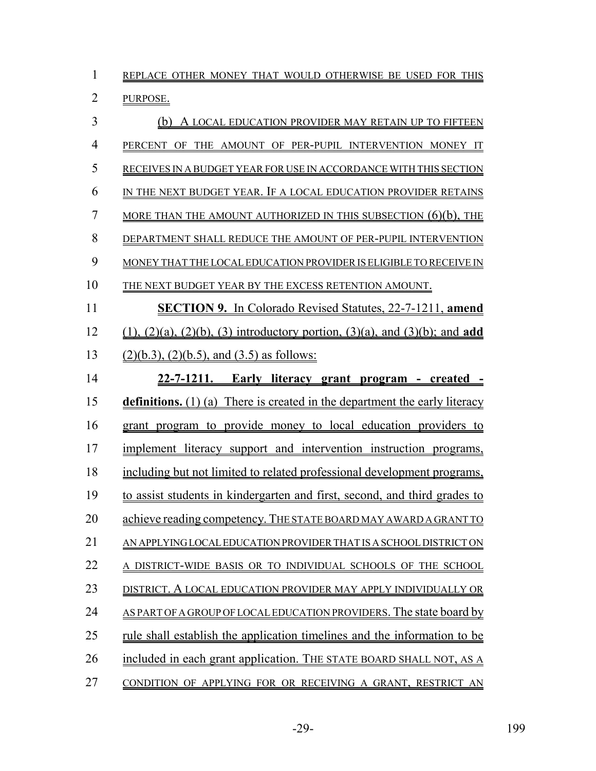| 1              | REPLACE OTHER MONEY THAT WOULD OTHERWISE BE USED FOR THIS                                          |
|----------------|----------------------------------------------------------------------------------------------------|
| $\overline{2}$ | PURPOSE.                                                                                           |
| 3              | A LOCAL EDUCATION PROVIDER MAY RETAIN UP TO FIFTEEN                                                |
| $\overline{4}$ | PERCENT OF THE AMOUNT OF PER-PUPIL INTERVENTION MONEY IT                                           |
| 5              | RECEIVES IN A BUDGET YEAR FOR USE IN ACCORDANCE WITH THIS SECTION                                  |
| 6              | IN THE NEXT BUDGET YEAR. IF A LOCAL EDUCATION PROVIDER RETAINS                                     |
| 7              | <u>MORE THAN THE AMOUNT AUTHORIZED IN THIS SUBSECTION <math>(6)(b)</math>, THE</u>                 |
| 8              | DEPARTMENT SHALL REDUCE THE AMOUNT OF PER-PUPIL INTERVENTION                                       |
| 9              | MONEY THAT THE LOCAL EDUCATION PROVIDER IS ELIGIBLE TO RECEIVE IN                                  |
| 10             | THE NEXT BUDGET YEAR BY THE EXCESS RETENTION AMOUNT.                                               |
| 11             | <b>SECTION 9.</b> In Colorado Revised Statutes, 22-7-1211, amend                                   |
| 12             | $(1)$ , $(2)(a)$ , $(2)(b)$ , $(3)$ introductory portion, $(3)(a)$ , and $(3)(b)$ ; and <b>add</b> |
| 13             | $(2)(b.3)$ , $(2)(b.5)$ , and $(3.5)$ as follows:                                                  |
| 14             | 22-7-1211. Early literacy grant program - created -                                                |
| 15             | definitions. (1) (a) There is created in the department the early literacy                         |
| 16             | grant program to provide money to local education providers to                                     |
| 17             | implement literacy support and intervention instruction programs,                                  |
| 18             | including but not limited to related professional development programs,                            |
| 19             | to assist students in kindergarten and first, second, and third grades to                          |
| 20             | achieve reading competency. THE STATE BOARD MAY AWARD A GRANT TO                                   |
| 21             | AN APPLYING LOCAL EDUCATION PROVIDER THAT IS A SCHOOL DISTRICT ON                                  |
| 22             | A DISTRICT-WIDE BASIS OR TO INDIVIDUAL SCHOOLS OF THE SCHOOL                                       |
| 23             | DISTRICT. A LOCAL EDUCATION PROVIDER MAY APPLY INDIVIDUALLY OR                                     |
| 24             | AS PART OF A GROUP OF LOCAL EDUCATION PROVIDERS. The state board by                                |
| 25             | <u>rule shall establish the application timelines and the information to be</u>                    |
| 26             | included in each grant application. THE STATE BOARD SHALL NOT, AS A                                |
| 27             | CONDITION OF APPLYING FOR OR RECEIVING A GRANT, RESTRICT AN                                        |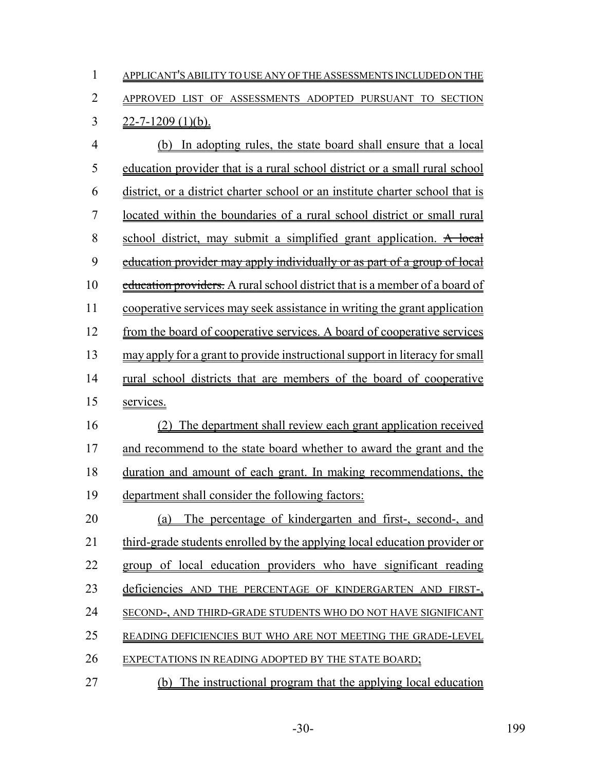| $\mathbf{1}$ | APPLICANT'S ABILITY TO USE ANY OF THE ASSESSMENTS INCLUDED ON THE |
|--------------|-------------------------------------------------------------------|
|              | 2 APPROVED LIST OF ASSESSMENTS ADOPTED PURSUANT TO SECTION        |
|              | 3 $22 - 7 - 1209$ (1)(b).                                         |
| 4            | (b) In adopting rules, the state board shall ensure that a local  |

 education provider that is a rural school district or a small rural school district, or a district charter school or an institute charter school that is located within the boundaries of a rural school district or small rural 8 school district, may submit a simplified grant application. A local 9 education provider may apply individually or as part of a group of local 10 education providers. A rural school district that is a member of a board of cooperative services may seek assistance in writing the grant application from the board of cooperative services. A board of cooperative services may apply for a grant to provide instructional support in literacy for small rural school districts that are members of the board of cooperative services.

 (2) The department shall review each grant application received and recommend to the state board whether to award the grant and the duration and amount of each grant. In making recommendations, the department shall consider the following factors:

 (a) The percentage of kindergarten and first-, second-, and third-grade students enrolled by the applying local education provider or group of local education providers who have significant reading deficiencies AND THE PERCENTAGE OF KINDERGARTEN AND FIRST-, SECOND-, AND THIRD-GRADE STUDENTS WHO DO NOT HAVE SIGNIFICANT 25 READING DEFICIENCIES BUT WHO ARE NOT MEETING THE GRADE-LEVEL 26 EXPECTATIONS IN READING ADOPTED BY THE STATE BOARD;

(b) The instructional program that the applying local education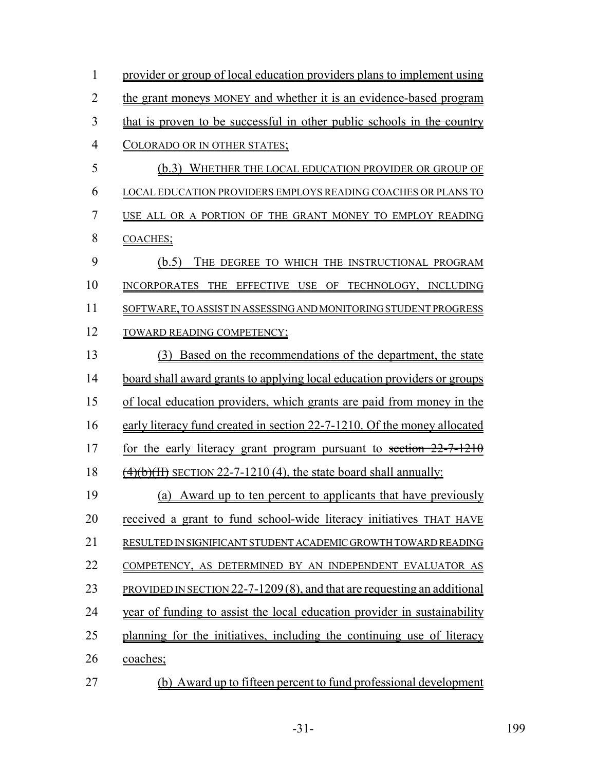| $\mathbf{1}$   | provider or group of local education providers plans to implement using         |  |  |  |
|----------------|---------------------------------------------------------------------------------|--|--|--|
| $\overline{2}$ | the grant moneys MONEY and whether it is an evidence-based program              |  |  |  |
| 3              | that is proven to be successful in other public schools in the country          |  |  |  |
| $\overline{4}$ | COLORADO OR IN OTHER STATES;                                                    |  |  |  |
| 5              | (b.3) WHETHER THE LOCAL EDUCATION PROVIDER OR GROUP OF                          |  |  |  |
| 6              | <b>LOCAL EDUCATION PROVIDERS EMPLOYS READING COACHES OR PLANS TO</b>            |  |  |  |
| $\overline{7}$ | USE ALL OR A PORTION OF THE GRANT MONEY TO EMPLOY READING                       |  |  |  |
| 8              | COACHES;                                                                        |  |  |  |
| 9              | (b.5)<br>THE DEGREE TO WHICH THE INSTRUCTIONAL PROGRAM                          |  |  |  |
| 10             | INCORPORATES THE EFFECTIVE USE OF TECHNOLOGY, INCLUDING                         |  |  |  |
| 11             | SOFTWARE, TO ASSIST IN ASSESSING AND MONITORING STUDENT PROGRESS                |  |  |  |
| 12             | TOWARD READING COMPETENCY;                                                      |  |  |  |
| 13             | Based on the recommendations of the department, the state<br>(3)                |  |  |  |
| 14             | board shall award grants to applying local education providers or groups        |  |  |  |
| 15             | of local education providers, which grants are paid from money in the           |  |  |  |
| 16             | early literacy fund created in section 22-7-1210. Of the money allocated        |  |  |  |
| 17             | for the early literacy grant program pursuant to section 22-7-1210              |  |  |  |
| 18             | $\frac{4}{6}$ (4)(b)(H) SECTION 22-7-1210 (4), the state board shall annually:  |  |  |  |
| 19             | (a) Award up to ten percent to applicants that have previously                  |  |  |  |
| 20             | received a grant to fund school-wide literacy initiatives THAT HAVE             |  |  |  |
| 21             | RESULTED IN SIGNIFICANT STUDENT ACADEMIC GROWTH TOWARD READING                  |  |  |  |
| 22             | COMPETENCY, AS DETERMINED BY AN INDEPENDENT EVALUATOR AS                        |  |  |  |
| 23             | <b>PROVIDED IN SECTION 22-7-1209 (8), and that are requesting an additional</b> |  |  |  |
| 24             | year of funding to assist the local education provider in sustainability        |  |  |  |
| 25             | planning for the initiatives, including the continuing use of literacy          |  |  |  |
| 26             | coaches;                                                                        |  |  |  |
| 27             | (b) Award up to fifteen percent to fund professional development                |  |  |  |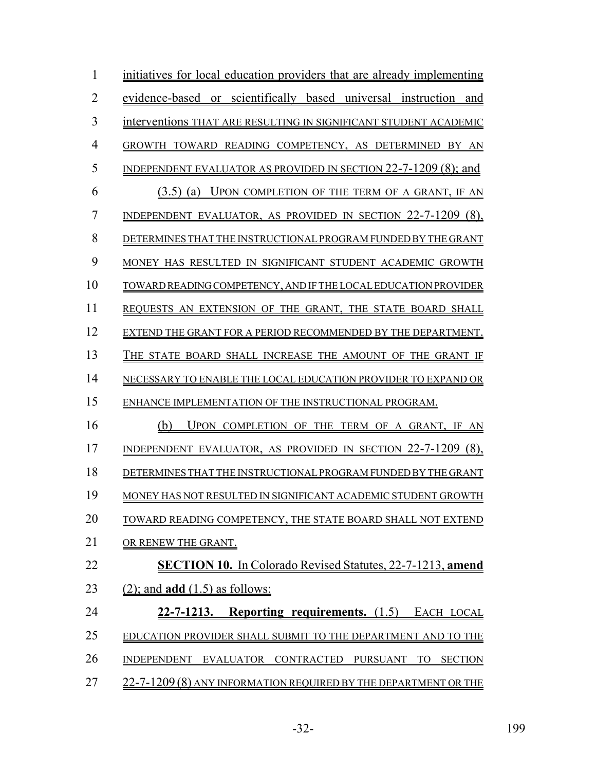| 1              | initiatives for local education providers that are already implementing |
|----------------|-------------------------------------------------------------------------|
| $\overline{2}$ | or scientifically based universal instruction<br>evidence-based<br>and  |
| 3              | interventions THAT ARE RESULTING IN SIGNIFICANT STUDENT ACADEMIC        |
| 4              | GROWTH TOWARD READING COMPETENCY, AS DETERMINED BY AN                   |
| 5              | INDEPENDENT EVALUATOR AS PROVIDED IN SECTION $22$ -7-1209 (8); and      |
| 6              | (3.5) (a) UPON COMPLETION OF THE TERM OF A GRANT, IF AN                 |
| 7              | INDEPENDENT EVALUATOR, AS PROVIDED IN SECTION 22-7-1209 (8).            |
| 8              | DETERMINES THAT THE INSTRUCTIONAL PROGRAM FUNDED BY THE GRANT           |
| 9              | MONEY HAS RESULTED IN SIGNIFICANT STUDENT ACADEMIC GROWTH               |
| 10             | TOWARD READING COMPETENCY. AND IF THE LOCAL EDUCATION PROVIDER          |
| 11             | REOUESTS AN EXTENSION OF THE GRANT. THE STATE BOARD SHALL               |
| 12             | EXTEND THE GRANT FOR A PERIOD RECOMMENDED BY THE DEPARTMENT.            |
| 13             | THE STATE BOARD SHALL INCREASE THE AMOUNT OF THE GRANT IF               |
| 14             | NECESSARY TO ENABLE THE LOCAL EDUCATION PROVIDER TO EXPAND OR           |
| 15             | ENHANCE IMPLEMENTATION OF THE INSTRUCTIONAL PROGRAM.                    |
| 16             | UPON COMPLETION OF THE TERM OF A GRANT, IF<br>(b)<br>AN                 |
| 17             | INDEPENDENT EVALUATOR, AS PROVIDED IN SECTION 22-7-1209 (8).            |
| 18             | DETERMINES THAT THE INSTRUCTIONAL PROGRAM FUNDED BY THE GRANT           |
| 19             | MONEY HAS NOT RESULTED IN SIGNIFICANT ACADEMIC STUDENT GROWTH           |
| 20             | TOWARD READING COMPETENCY, THE STATE BOARD SHALL NOT EXTEND             |
| 21             | OR RENEW THE GRANT.                                                     |
| 22             | <b>SECTION 10.</b> In Colorado Revised Statutes, 22-7-1213, amend       |
| 23             | $(2)$ ; and <b>add</b> $(1.5)$ as follows:                              |
| 24             | 22-7-1213. Reporting requirements. (1.5) EACH LOCAL                     |
| 25             | EDUCATION PROVIDER SHALL SUBMIT TO THE DEPARTMENT AND TO THE            |
| 26             | INDEPENDENT EVALUATOR CONTRACTED PURSUANT<br><b>SECTION</b><br>TO       |
| 27             | 22-7-1209 (8) ANY INFORMATION REQUIRED BY THE DEPARTMENT OR THE         |